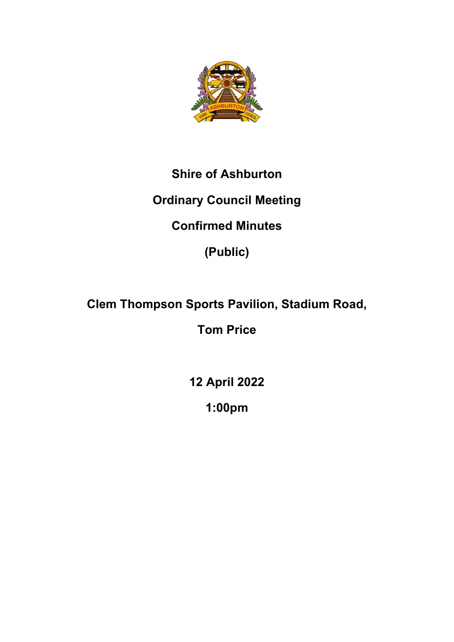

## **Shire of Ashburton**

## **Ordinary Council Meeting**

# **Confirmed Minutes**

**(Public)**

# **Clem Thompson Sports Pavilion, Stadium Road,**

**Tom Price**

**12 April 2022**

**1:00pm**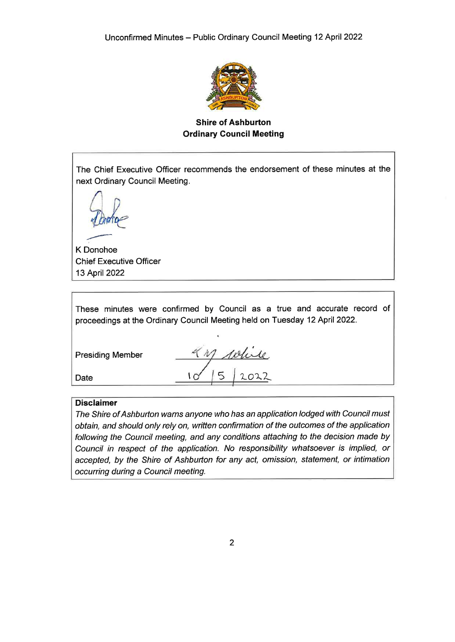

**Shire of Ashburton Ordinary Council Meeting** 

The Chief Executive Officer recommends the endorsement of these minutes at the next Ordinary Council Meeting.

K Donohoe **Chief Executive Officer** 13 April 2022

|  | These minutes were confirmed by Council as a true and accurate record of   |  |  |  |  |  |
|--|----------------------------------------------------------------------------|--|--|--|--|--|
|  | proceedings at the Ordinary Council Meeting held on Tuesday 12 April 2022. |  |  |  |  |  |

**Presiding Member** 

Date

refuse  $\overline{5}$  $2022$  $\overline{C}$ 

#### **Disclaimer**

The Shire of Ashburton warns anyone who has an application lodged with Council must obtain, and should only rely on, written confirmation of the outcomes of the application following the Council meeting, and any conditions attaching to the decision made by Council in respect of the application. No responsibility whatsoever is implied, or accepted, by the Shire of Ashburton for any act, omission, statement, or intimation occurring during a Council meeting.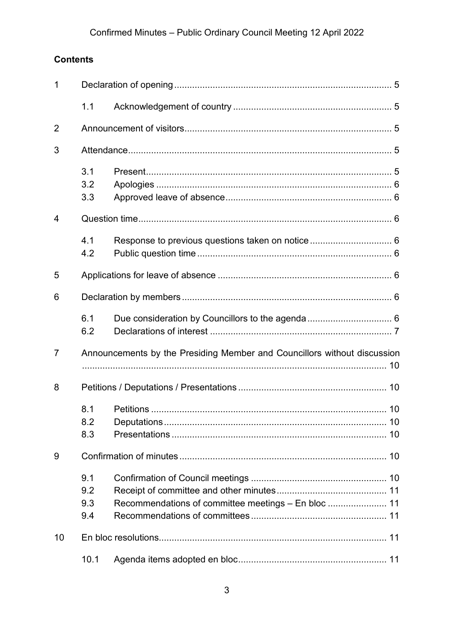## Confirmed Minutes - Public Ordinary Council Meeting 12 April 2022

### **Contents**

| 1              |      |                                                                          |  |  |
|----------------|------|--------------------------------------------------------------------------|--|--|
|                | 1.1  |                                                                          |  |  |
| $\overline{2}$ |      |                                                                          |  |  |
| 3              |      |                                                                          |  |  |
|                | 3.1  |                                                                          |  |  |
|                | 3.2  |                                                                          |  |  |
|                | 3.3  |                                                                          |  |  |
| 4              |      |                                                                          |  |  |
|                | 4.1  |                                                                          |  |  |
|                | 4.2  |                                                                          |  |  |
| 5              |      |                                                                          |  |  |
| 6              |      |                                                                          |  |  |
|                | 6.1  |                                                                          |  |  |
|                | 6.2  |                                                                          |  |  |
| $\overline{7}$ |      | Announcements by the Presiding Member and Councillors without discussion |  |  |
|                |      |                                                                          |  |  |
| 8              |      |                                                                          |  |  |
|                | 8.1  |                                                                          |  |  |
|                | 8.2  |                                                                          |  |  |
|                | 8.3  |                                                                          |  |  |
| 9              |      |                                                                          |  |  |
|                | 9.1  |                                                                          |  |  |
|                | 9.2  |                                                                          |  |  |
|                | 9.3  | Recommendations of committee meetings - En bloc  11                      |  |  |
|                | 9.4  |                                                                          |  |  |
| 10             |      |                                                                          |  |  |
|                | 10.1 |                                                                          |  |  |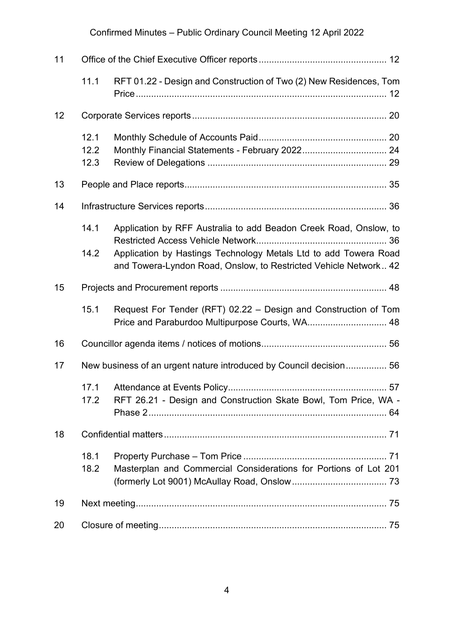## Confirmed Minutes – Public Ordinary Council Meeting 12 April 2022

| 11              |                      |                                                                                                                                                                                                           |  |
|-----------------|----------------------|-----------------------------------------------------------------------------------------------------------------------------------------------------------------------------------------------------------|--|
|                 | 11.1                 | RFT 01.22 - Design and Construction of Two (2) New Residences, Tom                                                                                                                                        |  |
| 12 <sub>2</sub> |                      |                                                                                                                                                                                                           |  |
|                 | 12.1<br>12.2<br>12.3 |                                                                                                                                                                                                           |  |
| 13              |                      |                                                                                                                                                                                                           |  |
| 14              |                      |                                                                                                                                                                                                           |  |
|                 | 14.1<br>14.2         | Application by RFF Australia to add Beadon Creek Road, Onslow, to<br>Application by Hastings Technology Metals Ltd to add Towera Road<br>and Towera-Lyndon Road, Onslow, to Restricted Vehicle Network 42 |  |
| 15              |                      |                                                                                                                                                                                                           |  |
|                 | 15.1                 | Request For Tender (RFT) 02.22 - Design and Construction of Tom<br>Price and Paraburdoo Multipurpose Courts, WA 48                                                                                        |  |
| 16              |                      |                                                                                                                                                                                                           |  |
| 17              |                      | New business of an urgent nature introduced by Council decision 56                                                                                                                                        |  |
|                 | 17.1<br>17.2         | RFT 26.21 - Design and Construction Skate Bowl, Tom Price, WA -                                                                                                                                           |  |
| 18              |                      |                                                                                                                                                                                                           |  |
|                 | 18.1<br>18.2         | Masterplan and Commercial Considerations for Portions of Lot 201                                                                                                                                          |  |
| 19              |                      |                                                                                                                                                                                                           |  |
| 20              |                      |                                                                                                                                                                                                           |  |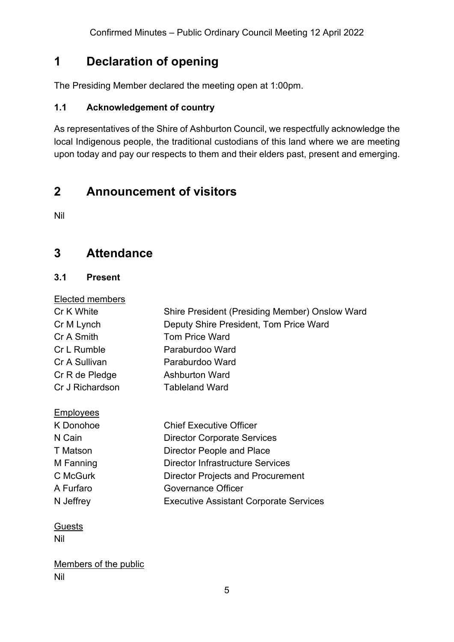## <span id="page-4-0"></span>**1 Declaration of opening**

The Presiding Member declared the meeting open at 1:00pm.

#### <span id="page-4-1"></span>**1.1 Acknowledgement of country**

As representatives of the Shire of Ashburton Council, we respectfully acknowledge the local Indigenous people, the traditional custodians of this land where we are meeting upon today and pay our respects to them and their elders past, present and emerging.

## <span id="page-4-2"></span>**2 Announcement of visitors**

Nil

## <span id="page-4-3"></span>**3 Attendance**

#### <span id="page-4-4"></span>**3.1 Present**

#### Elected members

| Cr K White      | Shire President (Presiding Member) Onslow Ward |
|-----------------|------------------------------------------------|
| Cr M Lynch      | Deputy Shire President, Tom Price Ward         |
| Cr A Smith      | <b>Tom Price Ward</b>                          |
| Cr L Rumble     | Paraburdoo Ward                                |
| Cr A Sullivan   | Paraburdoo Ward                                |
| Cr R de Pledge  | <b>Ashburton Ward</b>                          |
| Cr J Richardson | <b>Tableland Ward</b>                          |

#### **Employees**

| K Donohoe | <b>Chief Executive Officer</b>                |
|-----------|-----------------------------------------------|
| N Cain    | <b>Director Corporate Services</b>            |
| T Matson  | Director People and Place                     |
| M Fanning | <b>Director Infrastructure Services</b>       |
| C McGurk  | <b>Director Projects and Procurement</b>      |
| A Furfaro | <b>Governance Officer</b>                     |
| N Jeffrey | <b>Executive Assistant Corporate Services</b> |

#### **Guests**

Nil

Members of the public Nil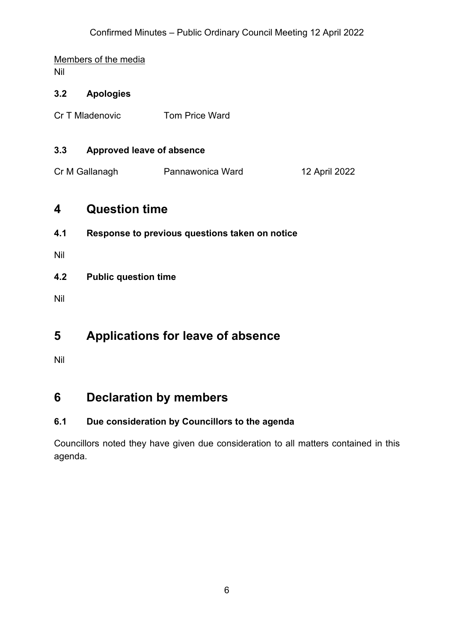# Members of the media

Nil

#### <span id="page-5-0"></span>**3.2 Apologies**

Cr T Mladenovic **Tom Price Ward** 

#### <span id="page-5-1"></span>**3.3 Approved leave of absence**

Cr M Gallanagh Pannawonica Ward 12 April 2022

### <span id="page-5-2"></span>**4 Question time**

<span id="page-5-3"></span>**4.1 Response to previous questions taken on notice**

Nil

<span id="page-5-4"></span>**4.2 Public question time**

Nil

## <span id="page-5-5"></span>**5 Applications for leave of absence**

Nil

## <span id="page-5-6"></span>**6 Declaration by members**

#### <span id="page-5-7"></span>**6.1 Due consideration by Councillors to the agenda**

Councillors noted they have given due consideration to all matters contained in this agenda.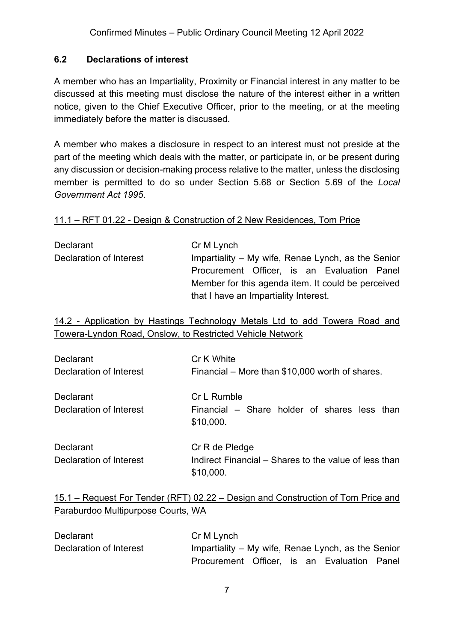#### <span id="page-6-0"></span>**6.2 Declarations of interest**

A member who has an Impartiality, Proximity or Financial interest in any matter to be discussed at this meeting must disclose the nature of the interest either in a written notice, given to the Chief Executive Officer, prior to the meeting, or at the meeting immediately before the matter is discussed.

A member who makes a disclosure in respect to an interest must not preside at the part of the meeting which deals with the matter, or participate in, or be present during any discussion or decision-making process relative to the matter, unless the disclosing member is permitted to do so under Section 5.68 or Section 5.69 of the *Local Government Act 1995*.

#### 11.1 – RFT 01.22 - Design & Construction of 2 New Residences, Tom Price

| Declarant               | Cr M Lynch                                         |
|-------------------------|----------------------------------------------------|
| Declaration of Interest | Impartiality – My wife, Renae Lynch, as the Senior |
|                         | Procurement Officer, is an Evaluation Panel        |
|                         | Member for this agenda item. It could be perceived |
|                         | that I have an Impartiality Interest.              |

14.2 - Application by Hastings Technology Metals Ltd to add Towera Road and Towera-Lyndon Road, Onslow, to Restricted Vehicle Network

| Declarant                                   | Cr K White                                                               |
|---------------------------------------------|--------------------------------------------------------------------------|
| Declaration of Interest                     | Financial – More than \$10,000 worth of shares.                          |
| <b>Declarant</b><br>Declaration of Interest | Cr L Rumble<br>Financial – Share holder of shares less than<br>\$10,000. |
| <b>Declarant</b>                            | Cr R de Pledge                                                           |
| Declaration of Interest                     | Indirect Financial – Shares to the value of less than                    |

#### 15.1 – Request For Tender (RFT) 02.22 – Design and Construction of Tom Price and Paraburdoo Multipurpose Courts, WA

\$10,000.

| Declarant               | Cr M Lynch                                         |  |  |  |
|-------------------------|----------------------------------------------------|--|--|--|
| Declaration of Interest | Impartiality – My wife, Renae Lynch, as the Senior |  |  |  |
|                         | Procurement Officer, is an Evaluation Panel        |  |  |  |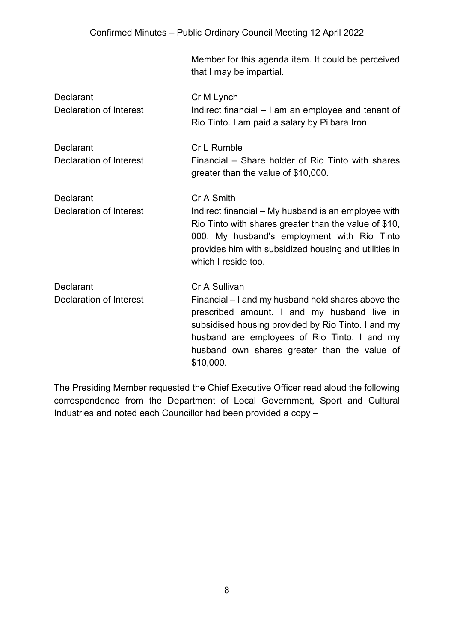#### Confirmed Minutes – Public Ordinary Council Meeting 12 April 2022

Member for this agenda item. It could be perceived that I may be impartial.

| <b>Declarant</b><br>Declaration of Interest | Cr M Lynch<br>Indirect financial – I am an employee and tenant of<br>Rio Tinto. I am paid a salary by Pilbara Iron.                                                                                                                                                      |
|---------------------------------------------|--------------------------------------------------------------------------------------------------------------------------------------------------------------------------------------------------------------------------------------------------------------------------|
| Declarant<br>Declaration of Interest        | <b>Cr L Rumble</b><br>Financial – Share holder of Rio Tinto with shares<br>greater than the value of \$10,000.                                                                                                                                                           |
| Declarant<br>Declaration of Interest        | Cr A Smith<br>Indirect financial – My husband is an employee with<br>Rio Tinto with shares greater than the value of \$10,<br>000. My husband's employment with Rio Tinto<br>provides him with subsidized housing and utilities in<br>which I reside too.                |
| <b>Declarant</b><br>Declaration of Interest | Cr A Sullivan<br>Financial – I and my husband hold shares above the<br>prescribed amount. I and my husband live in<br>subsidised housing provided by Rio Tinto. I and my<br>husband are employees of Rio Tinto. I and my<br>husband own shares greater than the value of |

The Presiding Member requested the Chief Executive Officer read aloud the following correspondence from the Department of Local Government, Sport and Cultural Industries and noted each Councillor had been provided a copy –

\$10,000.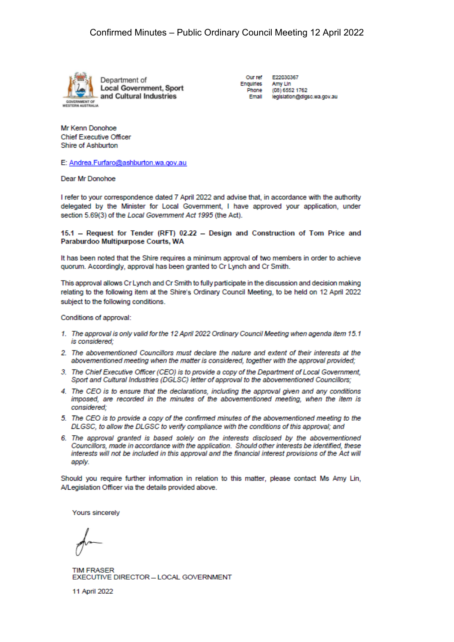

**Local Government, Sport** and Cultural Industries

Our ref Enquiries Phone

F22030367 Amy Lin (08) 6552 1762 Email legislation@digsc.wa.gov.au

Mr Kenn Donohoe **Chief Executive Officer** Shire of Ashburton

E: Andrea.Furfaro@ashburton.wa.gov.au

Dear Mr Donohoe

I refer to your correspondence dated 7 April 2022 and advise that, in accordance with the authority delegated by the Minister for Local Government, I have approved your application, under section 5.69(3) of the Local Government Act 1995 (the Act).

15.1 - Request for Tender (RFT) 02.22 - Design and Construction of Tom Price and Paraburdoo Multipurpose Courts, WA

It has been noted that the Shire requires a minimum approval of two members in order to achieve quorum. Accordingly, approval has been granted to Cr Lynch and Cr Smith.

This approval allows Cr Lynch and Cr Smith to fully participate in the discussion and decision making relating to the following item at the Shire's Ordinary Council Meeting, to be held on 12 April 2022 subject to the following conditions.

Conditions of approval:

- 1. The approval is only valid for the 12 April 2022 Ordinary Council Meeting when agenda item 15.1 is considered:
- 2. The abovementioned Councillors must declare the nature and extent of their interests at the abovementioned meeting when the matter is considered, together with the approval provided;
- 3. The Chief Executive Officer (CEO) is to provide a copy of the Department of Local Government. Sport and Cultural Industries (DGLSC) letter of approval to the abovementioned Councillors;
- 4. The CEO is to ensure that the declarations, including the approval given and any conditions imposed, are recorded in the minutes of the abovementioned meeting, when the item is considered:
- 5. The CEO is to provide a copy of the confirmed minutes of the abovementioned meeting to the DLGSC, to allow the DLGSC to verify compliance with the conditions of this approval; and
- 6. The approval granted is based solely on the interests disclosed by the abovementioned Councillors, made in accordance with the application. Should other interests be identified, these interests will not be included in this approval and the financial interest provisions of the Act will apply.

Should you require further information in relation to this matter, please contact Ms Amy Lin, A/Legislation Officer via the details provided above.

Yours sincerely

**TIM FRASFR** EXECUTIVE DIRECTOR - LOCAL GOVERNMENT

11 April 2022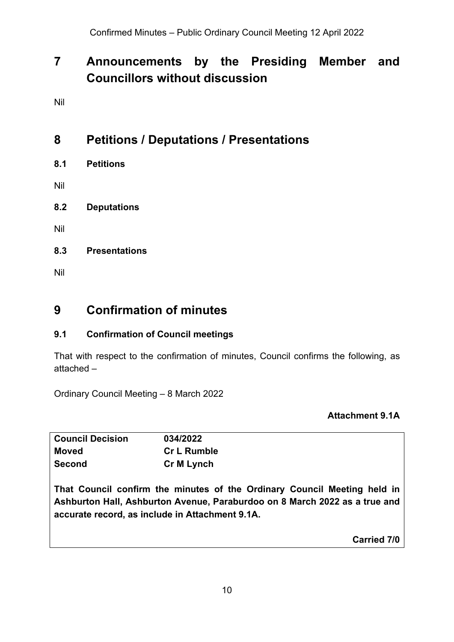## <span id="page-9-0"></span>**7 Announcements by the Presiding Member and Councillors without discussion**

Nil

## <span id="page-9-1"></span>**8 Petitions / Deputations / Presentations**

<span id="page-9-2"></span>**8.1 Petitions**

Nil

<span id="page-9-3"></span>**8.2 Deputations**

Nil

<span id="page-9-4"></span>**8.3 Presentations**

Nil

### <span id="page-9-5"></span>**9 Confirmation of minutes**

#### <span id="page-9-6"></span>**9.1 Confirmation of Council meetings**

That with respect to the confirmation of minutes, Council confirms the following, as attached –

Ordinary Council Meeting – 8 March 2022

#### **Attachment 9.1A**

| <b>Council Decision</b> | 034/2022           |
|-------------------------|--------------------|
| Moved                   | <b>Cr L Rumble</b> |
| <b>Second</b>           | Cr M Lynch         |

**That Council confirm the minutes of the Ordinary Council Meeting held in Ashburton Hall, Ashburton Avenue, Paraburdoo on 8 March 2022 as a true and accurate record, as include in Attachment 9.1A.**

**Carried 7/0**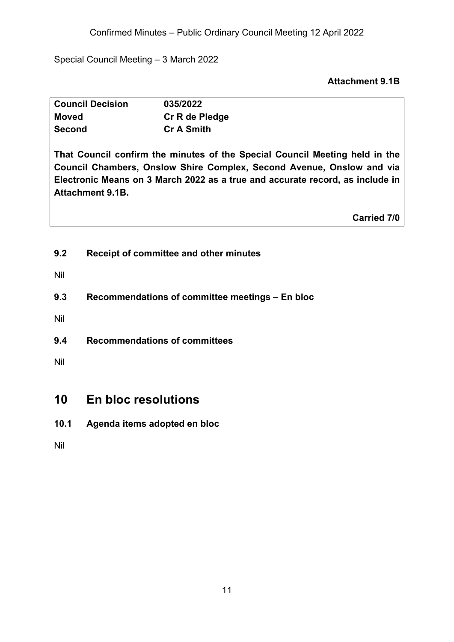Confirmed Minutes – Public Ordinary Council Meeting 12 April 2022

Special Council Meeting – 3 March 2022

#### **Attachment 9.1B**

| <b>Council Decision</b> | 035/2022          |
|-------------------------|-------------------|
| <b>Moved</b>            | Cr R de Pledge    |
| <b>Second</b>           | <b>Cr A Smith</b> |

**That Council confirm the minutes of the Special Council Meeting held in the Council Chambers, Onslow Shire Complex, Second Avenue, Onslow and via Electronic Means on 3 March 2022 as a true and accurate record, as include in Attachment 9.1B.**

**Carried 7/0**

<span id="page-10-0"></span>**9.2 Receipt of committee and other minutes**

Nil

<span id="page-10-1"></span>**9.3 Recommendations of committee meetings – En bloc**

Nil

<span id="page-10-2"></span>**9.4 Recommendations of committees**

Nil

### <span id="page-10-3"></span>**10 En bloc resolutions**

<span id="page-10-4"></span>**10.1 Agenda items adopted en bloc**

Nil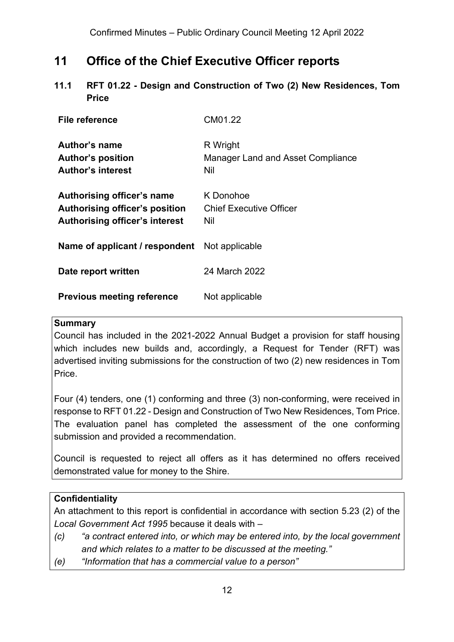## <span id="page-11-0"></span>**11 Office of the Chief Executive Officer reports**

<span id="page-11-1"></span>**11.1 RFT 01.22 - Design and Construction of Two (2) New Residences, Tom Price**

| File reference                                                                                               | CM01.22                                              |
|--------------------------------------------------------------------------------------------------------------|------------------------------------------------------|
| Author's name<br><b>Author's position</b><br><b>Author's interest</b>                                        | R Wright<br>Manager Land and Asset Compliance<br>Nil |
| Authorising officer's name<br><b>Authorising officer's position</b><br><b>Authorising officer's interest</b> | K Donohoe<br><b>Chief Executive Officer</b><br>Nil   |
| Name of applicant / respondent                                                                               | Not applicable                                       |
| Date report written                                                                                          | 24 March 2022                                        |
| <b>Previous meeting reference</b>                                                                            | Not applicable                                       |

#### **Summary**

Council has included in the 2021-2022 Annual Budget a provision for staff housing which includes new builds and, accordingly, a Request for Tender (RFT) was advertised inviting submissions for the construction of two (2) new residences in Tom Price.

Four (4) tenders, one (1) conforming and three (3) non-conforming, were received in response to RFT 01.22 - Design and Construction of Two New Residences, Tom Price. The evaluation panel has completed the assessment of the one conforming submission and provided a recommendation.

Council is requested to reject all offers as it has determined no offers received demonstrated value for money to the Shire.

#### **Confidentiality**

An attachment to this report is confidential in accordance with section 5.23 (2) of the *Local Government Act 1995* because it deals with –

- *(c) "a contract entered into, or which may be entered into, by the local government and which relates to a matter to be discussed at the meeting."*
- *(e) "Information that has a commercial value to a person"*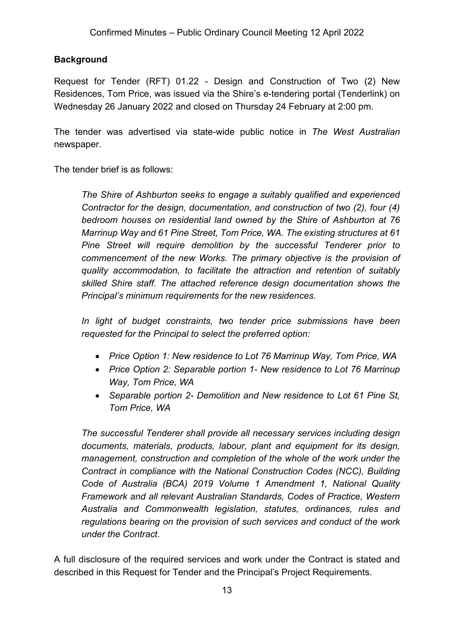#### **Background**

Request for Tender (RFT) 01.22 - Design and Construction of Two (2) New Residences, Tom Price, was issued via the Shire's e-tendering portal (Tenderlink) on Wednesday 26 January 2022 and closed on Thursday 24 February at 2:00 pm.

The tender was advertised via state-wide public notice in *The West Australian* newspaper.

The tender brief is as follows:

*The Shire of Ashburton seeks to engage a suitably qualified and experienced Contractor for the design, documentation, and construction of two (2), four (4) bedroom houses on residential land owned by the Shire of Ashburton at 76 Marrinup Way and 61 Pine Street, Tom Price, WA. The existing structures at 61 Pine Street will require demolition by the successful Tenderer prior to commencement of the new Works. The primary objective is the provision of quality accommodation, to facilitate the attraction and retention of suitably skilled Shire staff. The attached reference design documentation shows the Principal's minimum requirements for the new residences.* 

*In light of budget constraints, two tender price submissions have been requested for the Principal to select the preferred option:* 

- *Price Option 1: New residence to Lot 76 Marrinup Way, Tom Price, WA*
- *Price Option 2: Separable portion 1- New residence to Lot 76 Marrinup Way, Tom Price, WA*
- *Separable portion 2- Demolition and New residence to Lot 61 Pine St, Tom Price, WA*

*The successful Tenderer shall provide all necessary services including design documents, materials, products, labour, plant and equipment for its design, management, construction and completion of the whole of the work under the Contract in compliance with the National Construction Codes (NCC), Building Code of Australia (BCA) 2019 Volume 1 Amendment 1, National Quality Framework and all relevant Australian Standards, Codes of Practice, Western Australia and Commonwealth legislation, statutes, ordinances, rules and regulations bearing on the provision of such services and conduct of the work under the Contract*.

A full disclosure of the required services and work under the Contract is stated and described in this Request for Tender and the Principal's Project Requirements.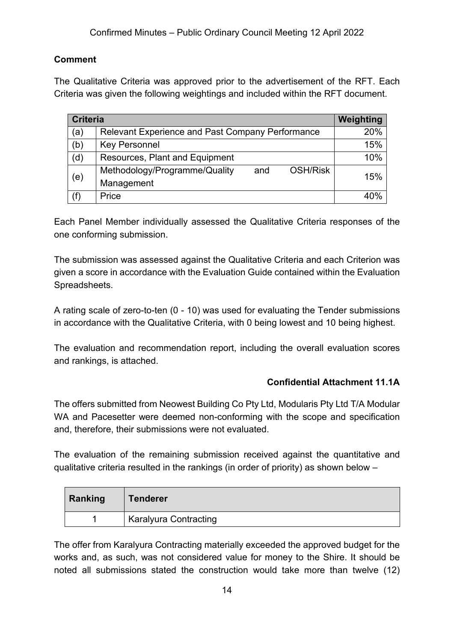#### **Comment**

The Qualitative Criteria was approved prior to the advertisement of the RFT. Each Criteria was given the following weightings and included within the RFT document.

| <b>Criteria</b> |                                                         | Weighting |
|-----------------|---------------------------------------------------------|-----------|
| (a)             | <b>Relevant Experience and Past Company Performance</b> | 20%       |
| (b)             | <b>Key Personnel</b>                                    | 15%       |
| (d)             | Resources, Plant and Equipment                          | 10%       |
| (e)             | <b>OSH/Risk</b><br>Methodology/Programme/Quality<br>and | 15%       |
|                 | Management                                              |           |
| (f)             | Price                                                   | 40%       |

Each Panel Member individually assessed the Qualitative Criteria responses of the one conforming submission.

The submission was assessed against the Qualitative Criteria and each Criterion was given a score in accordance with the Evaluation Guide contained within the Evaluation Spreadsheets.

A rating scale of zero-to-ten (0 - 10) was used for evaluating the Tender submissions in accordance with the Qualitative Criteria, with 0 being lowest and 10 being highest.

The evaluation and recommendation report, including the overall evaluation scores and rankings, is attached.

#### **Confidential Attachment 11.1A**

The offers submitted from Neowest Building Co Pty Ltd, Modularis Pty Ltd T/A Modular WA and Pacesetter were deemed non-conforming with the scope and specification and, therefore, their submissions were not evaluated.

The evaluation of the remaining submission received against the quantitative and qualitative criteria resulted in the rankings (in order of priority) as shown below –

| Ranking | <b>Tenderer</b>              |
|---------|------------------------------|
|         | <b>Karalyura Contracting</b> |

The offer from Karalyura Contracting materially exceeded the approved budget for the works and, as such, was not considered value for money to the Shire. It should be noted all submissions stated the construction would take more than twelve (12)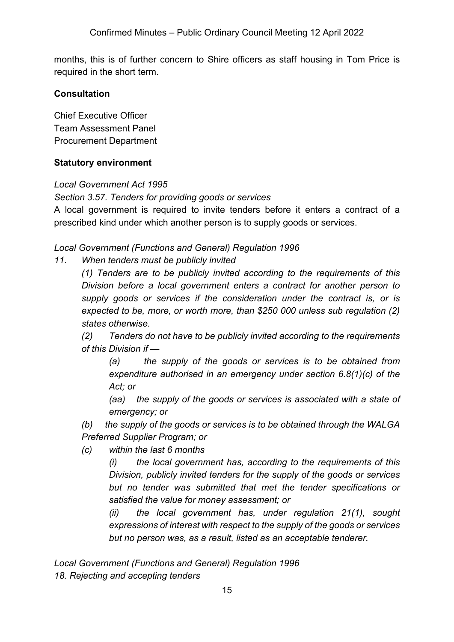months, this is of further concern to Shire officers as staff housing in Tom Price is required in the short term.

#### **Consultation**

Chief Executive Officer Team Assessment Panel Procurement Department

#### **Statutory environment**

*Local Government Act 1995* 

#### *Section 3.57. Tenders for providing goods or services*

A local government is required to invite tenders before it enters a contract of a prescribed kind under which another person is to supply goods or services.

*Local Government (Functions and General) Regulation 1996* 

*11. When tenders must be publicly invited*

*(1) Tenders are to be publicly invited according to the requirements of this Division before a local government enters a contract for another person to supply goods or services if the consideration under the contract is, or is expected to be, more, or worth more, than \$250 000 unless sub regulation (2) states otherwise.*

*(2) Tenders do not have to be publicly invited according to the requirements of this Division if —*

*(a) the supply of the goods or services is to be obtained from expenditure authorised in an emergency under section 6.8(1)(c) of the Act; or*

*(aa) the supply of the goods or services is associated with a state of emergency; or*

*(b) the supply of the goods or services is to be obtained through the WALGA Preferred Supplier Program; or*

*(c) within the last 6 months*

*(i) the local government has, according to the requirements of this Division, publicly invited tenders for the supply of the goods or services but no tender was submitted that met the tender specifications or satisfied the value for money assessment; or* 

*(ii) the local government has, under regulation 21(1), sought expressions of interest with respect to the supply of the goods or services but no person was, as a result, listed as an acceptable tenderer.*

*Local Government (Functions and General) Regulation 1996 18. Rejecting and accepting tenders*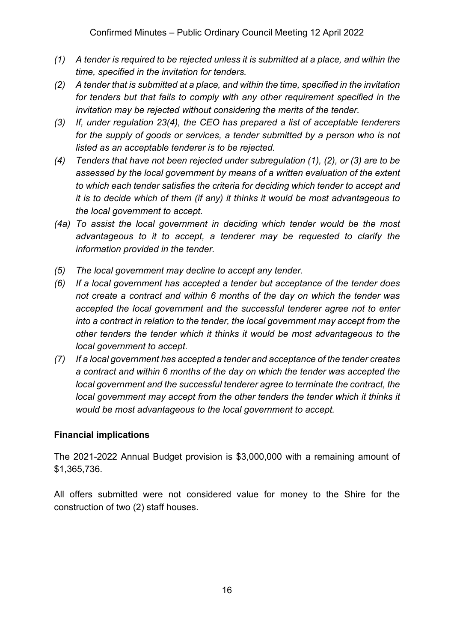- *(1) A tender is required to be rejected unless it is submitted at a place, and within the time, specified in the invitation for tenders.*
- *(2) A tender that is submitted at a place, and within the time, specified in the invitation for tenders but that fails to comply with any other requirement specified in the invitation may be rejected without considering the merits of the tender.*
- *(3) If, under regulation 23(4), the CEO has prepared a list of acceptable tenderers*  for the supply of goods or services, a tender submitted by a person who is not *listed as an acceptable tenderer is to be rejected.*
- *(4) Tenders that have not been rejected under subregulation (1), (2), or (3) are to be assessed by the local government by means of a written evaluation of the extent to which each tender satisfies the criteria for deciding which tender to accept and it is to decide which of them (if any) it thinks it would be most advantageous to the local government to accept.*
- *(4a) To assist the local government in deciding which tender would be the most advantageous to it to accept, a tenderer may be requested to clarify the information provided in the tender.*
- *(5) The local government may decline to accept any tender.*
- *(6) If a local government has accepted a tender but acceptance of the tender does not create a contract and within 6 months of the day on which the tender was accepted the local government and the successful tenderer agree not to enter into a contract in relation to the tender, the local government may accept from the other tenders the tender which it thinks it would be most advantageous to the local government to accept.*
- *(7) If a local government has accepted a tender and acceptance of the tender creates a contract and within 6 months of the day on which the tender was accepted the local government and the successful tenderer agree to terminate the contract, the local government may accept from the other tenders the tender which it thinks it would be most advantageous to the local government to accept.*

#### **Financial implications**

The 2021-2022 Annual Budget provision is \$3,000,000 with a remaining amount of \$1,365,736.

All offers submitted were not considered value for money to the Shire for the construction of two (2) staff houses.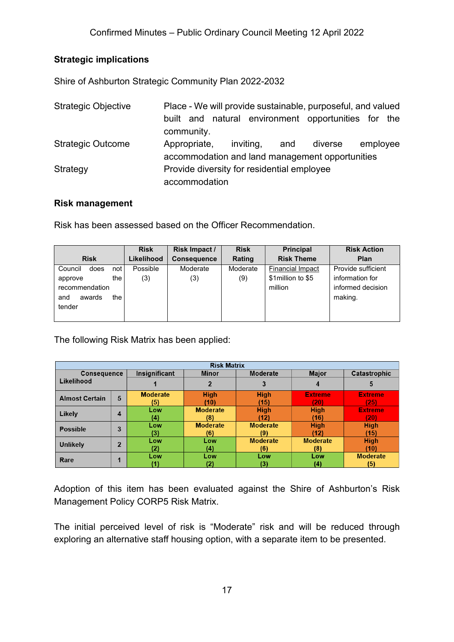#### **Strategic implications**

Shire of Ashburton Strategic Community Plan 2022-2032

| <b>Strategic Objective</b> | Place - We will provide sustainable, purposeful, and valued<br>built and natural environment opportunities for the |           |     |         |          |  |
|----------------------------|--------------------------------------------------------------------------------------------------------------------|-----------|-----|---------|----------|--|
|                            | community.                                                                                                         |           |     |         |          |  |
| <b>Strategic Outcome</b>   | Appropriate,                                                                                                       | inviting, | and | diverse | employee |  |
|                            | accommodation and land management opportunities                                                                    |           |     |         |          |  |
| Strategy                   | Provide diversity for residential employee                                                                         |           |     |         |          |  |
|                            | accommodation                                                                                                      |           |     |         |          |  |

#### **Risk management**

Risk has been assessed based on the Officer Recommendation.

|                        | <b>Risk</b> | Risk Impact /      | <b>Risk</b> | <b>Principal</b>        | <b>Risk Action</b> |
|------------------------|-------------|--------------------|-------------|-------------------------|--------------------|
| <b>Risk</b>            | Likelihood  | <b>Consequence</b> | Rating      | <b>Risk Theme</b>       | Plan               |
| Council<br>does<br>not | Possible    | Moderate           | Moderate    | <b>Financial Impact</b> | Provide sufficient |
| the<br>approve         | (3)         | (3)                | (9)         | \$1 million to \$5      | information for    |
| recommendation         |             |                    |             | million                 | informed decision  |
| the<br>awards<br>and   |             |                    |             |                         | making.            |
| tender                 |             |                    |             |                         |                    |
|                        |             |                    |             |                         |                    |

The following Risk Matrix has been applied:

| <b>Risk Matrix</b>               |                |                 |                 |                 |                 |                     |  |
|----------------------------------|----------------|-----------------|-----------------|-----------------|-----------------|---------------------|--|
| <b>Consequence</b><br>Likelihood |                | Insignificant   | <b>Minor</b>    | Moderate        | <b>Major</b>    | <b>Catastrophic</b> |  |
|                                  |                |                 |                 |                 |                 | 5                   |  |
| <b>Almost Certain</b>            | 5              | <b>Moderate</b> | <b>High</b>     | <b>High</b>     | <b>Extreme</b>  | <b>Extreme</b>      |  |
|                                  |                | (5)             | (10)            | (15)            | (20             | '25)                |  |
| Likely                           | 4              | Low             | <b>Moderate</b> | <b>High</b>     | <b>High</b>     | <b>Extreme</b>      |  |
|                                  |                | (4)             | (8)             | (12)            | (16)            | (20                 |  |
| <b>Possible</b>                  | 3              | Low             | <b>Moderate</b> | <b>Moderate</b> | <b>High</b>     | <b>High</b>         |  |
|                                  |                | (3)             | (6)             | (9)             | (12)            | (15)                |  |
| <b>Unlikely</b>                  | $\overline{2}$ | Low             | Low             | <b>Moderate</b> | <b>Moderate</b> | <b>High</b>         |  |
|                                  |                | (2)             | (4)             | (6)             | (8)             | (10)                |  |
| Rare                             |                | Low             | Low             | Low             | Low             | <b>Moderate</b>     |  |
|                                  |                | [1]             | (2)             | (3)             | (4)             | (5)                 |  |

Adoption of this item has been evaluated against the Shire of Ashburton's Risk Management Policy CORP5 Risk Matrix.

The initial perceived level of risk is "Moderate" risk and will be reduced through exploring an alternative staff housing option, with a separate item to be presented.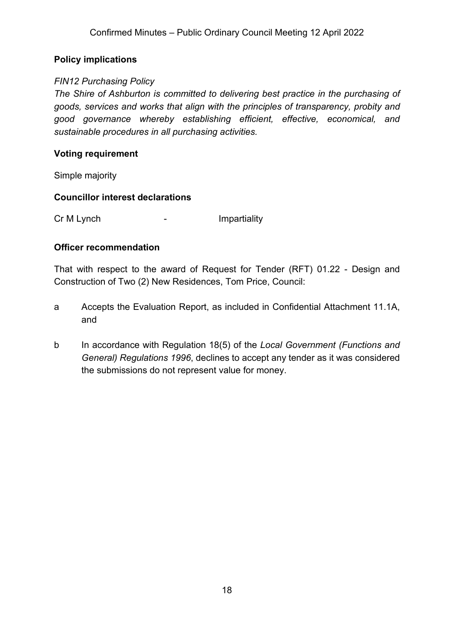#### **Policy implications**

#### *FIN12 Purchasing Policy*

*The Shire of Ashburton is committed to delivering best practice in the purchasing of goods, services and works that align with the principles of transparency, probity and good governance whereby establishing efficient, effective, economical, and sustainable procedures in all purchasing activities.*

#### **Voting requirement**

Simple majority

#### **Councillor interest declarations**

Cr M Lynch **-** Impartiality

#### **Officer recommendation**

That with respect to the award of Request for Tender (RFT) 01.22 - Design and Construction of Two (2) New Residences, Tom Price, Council:

- a Accepts the Evaluation Report, as included in Confidential Attachment 11.1A, and
- b In accordance with Regulation 18(5) of the *Local Government (Functions and General) Regulations 1996*, declines to accept any tender as it was considered the submissions do not represent value for money.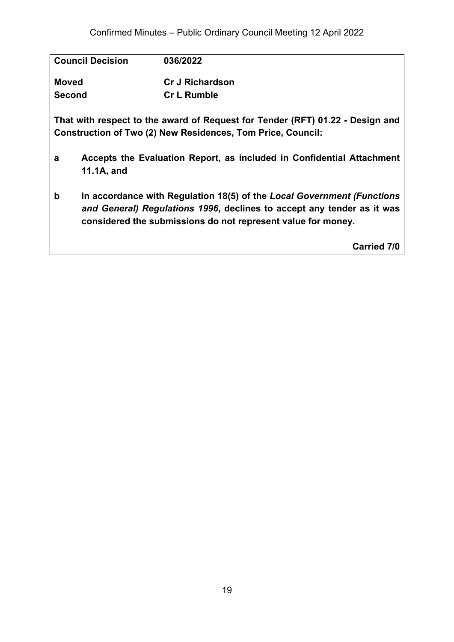| <b>Council Decision</b> | 036/2022                                                         |            |
|-------------------------|------------------------------------------------------------------|------------|
| <b>Moved</b>            | <b>Cr J Richardson</b>                                           |            |
| <b>Second</b>           | <b>Cr L Rumble</b>                                               |            |
|                         | That with reapeat to the quard of Dequest for Tender (DET) 04.22 | Dooign and |

**That with respect to the award of Request for Tender (RFT) 01.22 - Design and Construction of Two (2) New Residences, Tom Price, Council:**

- **a Accepts the Evaluation Report, as included in Confidential Attachment 11.1A, and**
- **b In accordance with Regulation 18(5) of the** *Local Government (Functions and General) Regulations 1996***, declines to accept any tender as it was considered the submissions do not represent value for money.**

**Carried 7/0**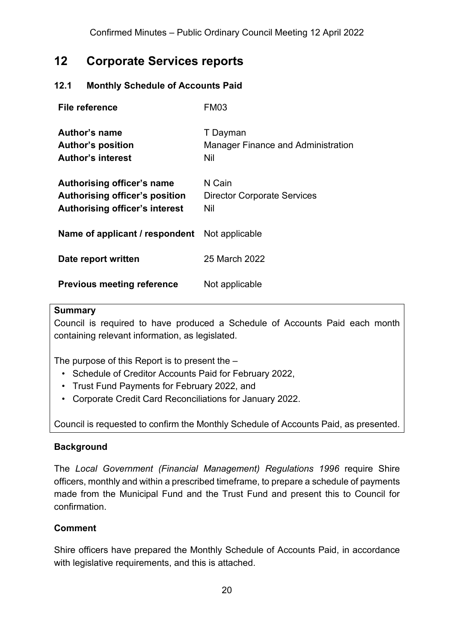### <span id="page-19-0"></span>**12 Corporate Services reports**

#### <span id="page-19-1"></span>**12.1 Monthly Schedule of Accounts Paid**

| <b>File reference</b>                                                                          | FM03                                                         |
|------------------------------------------------------------------------------------------------|--------------------------------------------------------------|
| Author's name<br><b>Author's position</b><br><b>Author's interest</b>                          | T Dayman<br><b>Manager Finance and Administration</b><br>Nil |
| Authorising officer's name<br>Authorising officer's position<br>Authorising officer's interest | N Cain<br><b>Director Corporate Services</b><br>Nil          |
| Name of applicant / respondent                                                                 | Not applicable                                               |
| Date report written                                                                            | 25 March 2022                                                |
| <b>Previous meeting reference</b>                                                              | Not applicable                                               |

#### **Summary**

Council is required to have produced a Schedule of Accounts Paid each month containing relevant information, as legislated.

The purpose of this Report is to present the –

- Schedule of Creditor Accounts Paid for February 2022,
- Trust Fund Payments for February 2022, and
- Corporate Credit Card Reconciliations for January 2022.

Council is requested to confirm the Monthly Schedule of Accounts Paid, as presented.

#### **Background**

The *Local Government (Financial Management) Regulations 1996* require Shire officers, monthly and within a prescribed timeframe, to prepare a schedule of payments made from the Municipal Fund and the Trust Fund and present this to Council for confirmation.

#### **Comment**

Shire officers have prepared the Monthly Schedule of Accounts Paid, in accordance with legislative requirements, and this is attached.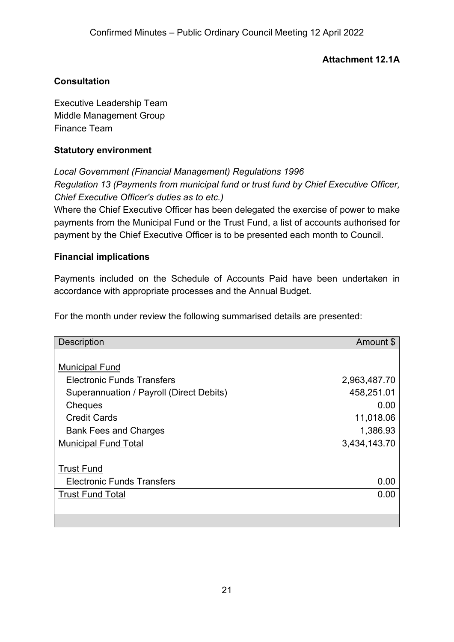#### **Attachment 12.1A**

#### **Consultation**

Executive Leadership Team Middle Management Group Finance Team

#### **Statutory environment**

*Local Government (Financial Management) Regulations 1996 Regulation 13 (Payments from municipal fund or trust fund by Chief Executive Officer, Chief Executive Officer's duties as to etc.)*

Where the Chief Executive Officer has been delegated the exercise of power to make payments from the Municipal Fund or the Trust Fund, a list of accounts authorised for payment by the Chief Executive Officer is to be presented each month to Council.

#### **Financial implications**

Payments included on the Schedule of Accounts Paid have been undertaken in accordance with appropriate processes and the Annual Budget.

For the month under review the following summarised details are presented:

| <b>Description</b>                       | Amount \$    |
|------------------------------------------|--------------|
|                                          |              |
| <b>Municipal Fund</b>                    |              |
| <b>Electronic Funds Transfers</b>        | 2,963,487.70 |
| Superannuation / Payroll (Direct Debits) | 458,251.01   |
| Cheques                                  | 0.00         |
| <b>Credit Cards</b>                      | 11,018.06    |
| <b>Bank Fees and Charges</b>             | 1,386.93     |
| <b>Municipal Fund Total</b>              | 3,434,143.70 |
|                                          |              |
| <b>Trust Fund</b>                        |              |
| <b>Electronic Funds Transfers</b>        | 0.00         |
| <b>Trust Fund Total</b>                  | 0.00         |
|                                          |              |
|                                          |              |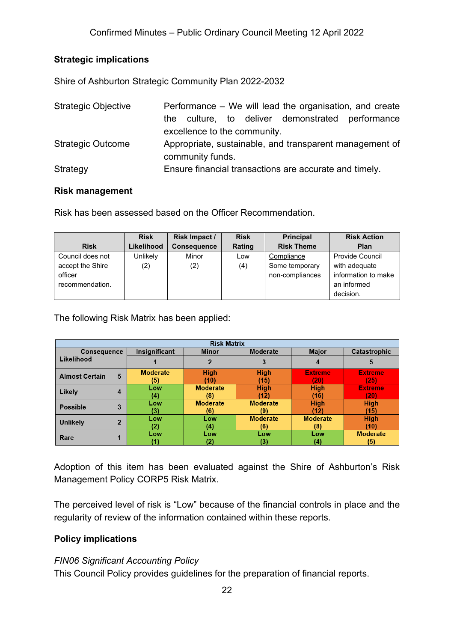#### **Strategic implications**

Shire of Ashburton Strategic Community Plan 2022-2032

| <b>Strategic Objective</b> | Performance – We will lead the organisation, and create |
|----------------------------|---------------------------------------------------------|
|                            | culture, to deliver demonstrated performance<br>the.    |
|                            | excellence to the community.                            |
| <b>Strategic Outcome</b>   | Appropriate, sustainable, and transparent management of |
|                            | community funds.                                        |
| Strategy                   | Ensure financial transactions are accurate and timely.  |

#### **Risk management**

Risk has been assessed based on the Officer Recommendation.

|                  | <b>Risk</b>     | Risk Impact /      | <b>Risk</b> | <b>Principal</b>  | <b>Risk Action</b>     |
|------------------|-----------------|--------------------|-------------|-------------------|------------------------|
| <b>Risk</b>      | Likelihood      | <b>Consequence</b> | Rating      | <b>Risk Theme</b> | Plan                   |
| Council does not | <b>Unlikely</b> | Minor              | Low         | Compliance        | <b>Provide Council</b> |
| accept the Shire | (2)             | (2)                | (4)         | Some temporary    | with adequate          |
| officer          |                 |                    |             | non-compliances   | information to make    |
| recommendation.  |                 |                    |             |                   | an informed            |
|                  |                 |                    |             |                   | decision.              |

The following Risk Matrix has been applied:

| <b>Risk Matrix</b>               |                |                 |                 |                 |                 |                 |  |
|----------------------------------|----------------|-----------------|-----------------|-----------------|-----------------|-----------------|--|
| <b>Consequence</b><br>Likelihood |                | Insignificant   | <b>Minor</b>    | <b>Moderate</b> | <b>Major</b>    | Catastrophic    |  |
|                                  |                |                 |                 |                 | 4               | 5               |  |
| <b>Almost Certain</b>            | 5              | <b>Moderate</b> | <b>High</b>     | <b>High</b>     | <b>Extreme</b>  | <b>Extreme</b>  |  |
|                                  |                | (5)             | (10)            | (15)            | 201             | (25)            |  |
| Likely                           | 4              | Low             | <b>Moderate</b> | <b>High</b>     | <b>High</b>     | <b>Extreme</b>  |  |
|                                  |                | (4)             | (8)             | (12)            | (16)            | (20)            |  |
| <b>Possible</b>                  | 3              | Low             | <b>Moderate</b> | <b>Moderate</b> | <b>High</b>     | <b>High</b>     |  |
|                                  |                | (3)             | (6)             | (9)             | (12)            | (15)            |  |
| <b>Unlikely</b>                  | $\overline{2}$ | Low             | Low             | <b>Moderate</b> | <b>Moderate</b> | <b>High</b>     |  |
|                                  |                | (2)             | (4)             | (6)             | (8)             | (10)            |  |
| Rare                             | л              | Low             | Low             | Low             | Low             | <b>Moderate</b> |  |
|                                  |                |                 |                 | (3)             | (4)             | (5)             |  |

Adoption of this item has been evaluated against the Shire of Ashburton's Risk Management Policy CORP5 Risk Matrix.

The perceived level of risk is "Low" because of the financial controls in place and the regularity of review of the information contained within these reports.

#### **Policy implications**

#### *FIN06 Significant Accounting Policy*

This Council Policy provides guidelines for the preparation of financial reports.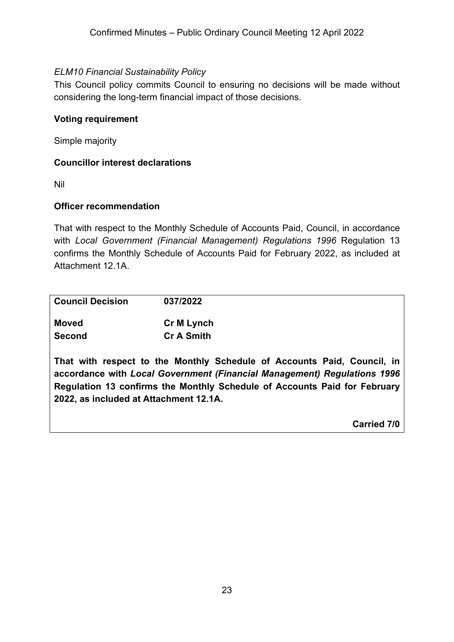#### *ELM10 Financial Sustainability Policy*

This Council policy commits Council to ensuring no decisions will be made without considering the long-term financial impact of those decisions.

#### **Voting requirement**

Simple majority

#### **Councillor interest declarations**

Nil

#### **Officer recommendation**

That with respect to the Monthly Schedule of Accounts Paid, Council, in accordance with *Local Government (Financial Management) Regulations 1996* Regulation 13 confirms the Monthly Schedule of Accounts Paid for February 2022, as included at Attachment 12.1A.

| <b>Council Decision</b> | 037/2022                                                                   |  |
|-------------------------|----------------------------------------------------------------------------|--|
| <b>Moved</b>            | <b>Cr M Lynch</b>                                                          |  |
| <b>Second</b>           | <b>Cr A Smith</b>                                                          |  |
|                         | That with respect to the Monthly Schedule of Accounts Paid, Council<br>-in |  |

**That with respect to the Monthly Schedule of Accounts Paid, Council, in accordance with** *Local Government (Financial Management) Regulations 1996* **Regulation 13 confirms the Monthly Schedule of Accounts Paid for February 2022, as included at Attachment 12.1A.**

**Carried 7/0**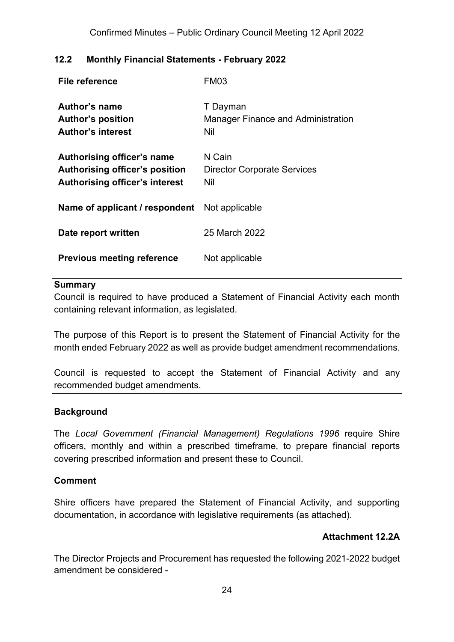#### <span id="page-23-0"></span>**12.2 Monthly Financial Statements - February 2022**

| File reference                                                                                        | <b>FM03</b>                                                  |
|-------------------------------------------------------------------------------------------------------|--------------------------------------------------------------|
| Author's name<br><b>Author's position</b><br><b>Author's interest</b>                                 | T Dayman<br><b>Manager Finance and Administration</b><br>Nil |
| Authorising officer's name<br>Authorising officer's position<br><b>Authorising officer's interest</b> | N Cain<br><b>Director Corporate Services</b><br>Nil          |
| Name of applicant / respondent                                                                        | Not applicable                                               |
| Date report written                                                                                   | 25 March 2022                                                |
| <b>Previous meeting reference</b>                                                                     | Not applicable                                               |

#### **Summary**

Council is required to have produced a Statement of Financial Activity each month containing relevant information, as legislated.

The purpose of this Report is to present the Statement of Financial Activity for the month ended February 2022 as well as provide budget amendment recommendations.

Council is requested to accept the Statement of Financial Activity and any recommended budget amendments.

#### **Background**

The *Local Government (Financial Management) Regulations 1996* require Shire officers, monthly and within a prescribed timeframe, to prepare financial reports covering prescribed information and present these to Council.

#### **Comment**

Shire officers have prepared the Statement of Financial Activity, and supporting documentation, in accordance with legislative requirements (as attached).

#### **Attachment 12.2A**

The Director Projects and Procurement has requested the following 2021-2022 budget amendment be considered -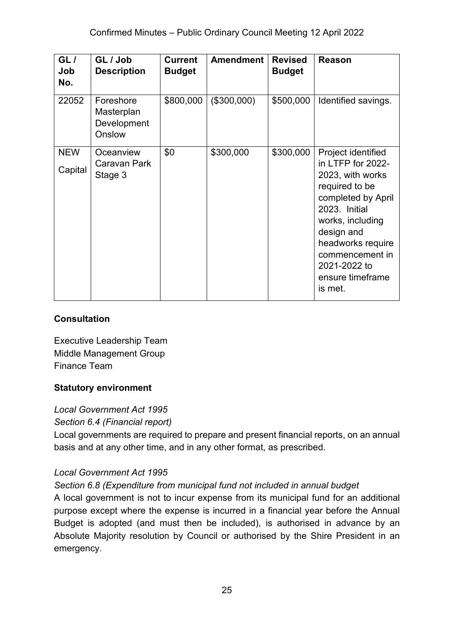| GL/<br>Job<br>No. | GL / Job<br><b>Description</b>                   | <b>Current</b><br><b>Budget</b> | <b>Amendment</b> | <b>Revised</b><br><b>Budget</b> | Reason                                                                                                                                                                                                                  |
|-------------------|--------------------------------------------------|---------------------------------|------------------|---------------------------------|-------------------------------------------------------------------------------------------------------------------------------------------------------------------------------------------------------------------------|
| 22052             | Foreshore<br>Masterplan<br>Development<br>Onslow | \$800,000                       | (\$300,000)      | \$500,000                       | Identified savings.                                                                                                                                                                                                     |
| <b>NEW</b>        | Oceanview                                        | \$0                             | \$300,000        | \$300,000                       | Project identified                                                                                                                                                                                                      |
| Capital           | Caravan Park<br>Stage 3                          |                                 |                  |                                 | in LTFP for 2022-<br>2023, with works<br>required to be<br>completed by April<br>2023. Initial<br>works, including<br>design and<br>headworks require<br>commencement in<br>2021-2022 to<br>ensure timeframe<br>is met. |

#### **Consultation**

Executive Leadership Team Middle Management Group Finance Team

#### **Statutory environment**

*Local Government Act 1995*

*Section 6.4 (Financial report)*

Local governments are required to prepare and present financial reports, on an annual basis and at any other time, and in any other format, as prescribed.

#### *Local Government Act 1995*

#### *Section 6.8 (Expenditure from municipal fund not included in annual budget*

A local government is not to incur expense from its municipal fund for an additional purpose except where the expense is incurred in a financial year before the Annual Budget is adopted (and must then be included), is authorised in advance by an Absolute Majority resolution by Council or authorised by the Shire President in an emergency.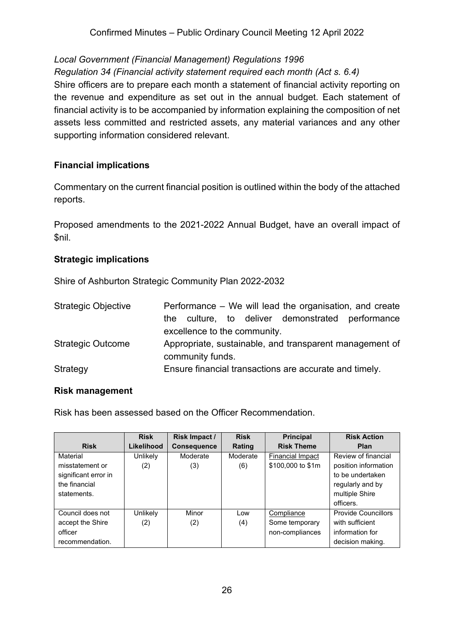#### *Local Government (Financial Management) Regulations 1996*

#### *Regulation 34 (Financial activity statement required each month (Act s. 6.4)*

Shire officers are to prepare each month a statement of financial activity reporting on the revenue and expenditure as set out in the annual budget. Each statement of financial activity is to be accompanied by information explaining the composition of net assets less committed and restricted assets, any material variances and any other supporting information considered relevant.

#### **Financial implications**

Commentary on the current financial position is outlined within the body of the attached reports.

Proposed amendments to the 2021-2022 Annual Budget, have an overall impact of \$nil.

#### **Strategic implications**

Shire of Ashburton Strategic Community Plan 2022-2032

| <b>Strategic Objective</b> | Performance – We will lead the organisation, and create |
|----------------------------|---------------------------------------------------------|
|                            | culture, to deliver demonstrated performance<br>the     |
|                            | excellence to the community.                            |
| <b>Strategic Outcome</b>   | Appropriate, sustainable, and transparent management of |
|                            | community funds.                                        |
| Strategy                   | Ensure financial transactions are accurate and timely.  |

#### **Risk management**

Risk has been assessed based on the Officer Recommendation.

|                      | <b>Risk</b> | Risk Impact /      | <b>Risk</b> | <b>Principal</b>        | <b>Risk Action</b>         |
|----------------------|-------------|--------------------|-------------|-------------------------|----------------------------|
| <b>Risk</b>          | Likelihood  | <b>Consequence</b> | Rating      | <b>Risk Theme</b>       | Plan                       |
| Material             | Unlikely    | Moderate           | Moderate    | <b>Financial Impact</b> | Review of financial        |
| misstatement or      | (2)         | (3)                | (6)         | \$100,000 to \$1m       | position information       |
| significant error in |             |                    |             |                         | to be undertaken           |
| the financial        |             |                    |             |                         | regularly and by           |
| statements.          |             |                    |             |                         | multiple Shire             |
|                      |             |                    |             |                         | officers.                  |
| Council does not     | Unlikely    | Minor              | Low         | Compliance              | <b>Provide Councillors</b> |
| accept the Shire     | (2)         | (2)                | (4)         | Some temporary          | with sufficient            |
| officer              |             |                    |             | non-compliances         | information for            |
| recommendation.      |             |                    |             |                         | decision making.           |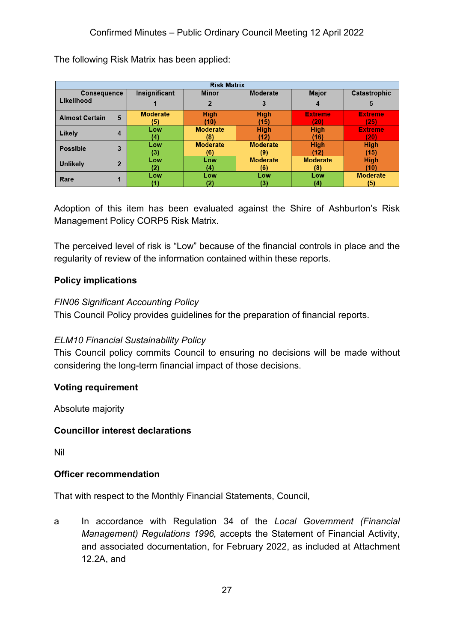| <b>Risk Matrix</b>    |                |                 |                 |                 |                 |                 |
|-----------------------|----------------|-----------------|-----------------|-----------------|-----------------|-----------------|
| <b>Consequence</b>    |                | Insignificant   | <b>Minor</b>    | Moderate        | <b>Major</b>    | Catastrophic    |
| Likelihood            |                |                 |                 | 3               | 4               | 5               |
| <b>Almost Certain</b> |                | <b>Moderate</b> | <b>High</b>     | <b>High</b>     | <b>Extreme</b>  | <b>Extreme</b>  |
|                       | 5              | (5)             | (10)            | (15)            | 201             | (25)            |
| Likely                |                | Low             | <b>Moderate</b> | <b>High</b>     | <b>High</b>     | <b>Extreme</b>  |
|                       | 4              | (4)             | (8)             | (12)            | (16)            | (20)            |
| <b>Possible</b>       | 3              | Low             | <b>Moderate</b> | <b>Moderate</b> | <b>High</b>     | <b>High</b>     |
|                       |                | (3)             | (6)             | (9)             | (12)            | (15)            |
| <b>Unlikely</b>       | $\overline{2}$ | Low             | Low             | <b>Moderate</b> | <b>Moderate</b> | <b>High</b>     |
|                       |                | 12).            | (4)             | (6)             | (8)             | (10)            |
|                       | и              | Low             | Low             | Low             | Low             | <b>Moderate</b> |
| Rare                  |                |                 | (2)             | (3)             | (4)             | (5)             |

The following Risk Matrix has been applied:

Adoption of this item has been evaluated against the Shire of Ashburton's Risk Management Policy CORP5 Risk Matrix.

The perceived level of risk is "Low" because of the financial controls in place and the regularity of review of the information contained within these reports.

#### **Policy implications**

#### *FIN06 Significant Accounting Policy*

This Council Policy provides guidelines for the preparation of financial reports.

#### *ELM10 Financial Sustainability Policy*

This Council policy commits Council to ensuring no decisions will be made without considering the long-term financial impact of those decisions.

#### **Voting requirement**

Absolute majority

#### **Councillor interest declarations**

Nil

#### **Officer recommendation**

That with respect to the Monthly Financial Statements, Council,

a In accordance with Regulation 34 of the *Local Government (Financial Management) Regulations 1996,* accepts the Statement of Financial Activity, and associated documentation, for February 2022, as included at Attachment 12.2A, and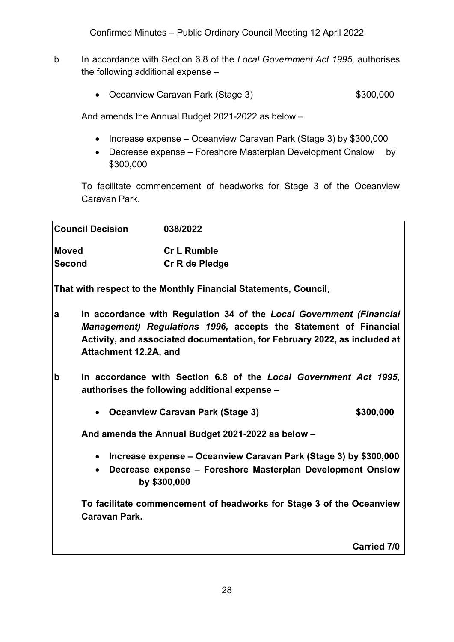Confirmed Minutes – Public Ordinary Council Meeting 12 April 2022

- b In accordance with Section 6.8 of the *Local Government Act 1995,* authorises the following additional expense –
	- Oceanview Caravan Park (Stage 3) \$300,000

And amends the Annual Budget 2021-2022 as below –

- Increase expense Oceanview Caravan Park (Stage 3) by \$300,000
- Decrease expense Foreshore Masterplan Development Onslow by \$300,000

To facilitate commencement of headworks for Stage 3 of the Oceanview Caravan Park.

| <b>Council Decision</b>    | 038/2022                                                                                                                                                                                                             |                    |
|----------------------------|----------------------------------------------------------------------------------------------------------------------------------------------------------------------------------------------------------------------|--------------------|
| <b>Moved</b>               | <b>Cr L Rumble</b>                                                                                                                                                                                                   |                    |
| <b>Second</b>              | Cr R de Pledge                                                                                                                                                                                                       |                    |
|                            | That with respect to the Monthly Financial Statements, Council,                                                                                                                                                      |                    |
| a<br>Attachment 12.2A, and | In accordance with Regulation 34 of the Local Government (Financial<br>Management) Regulations 1996, accepts the Statement of Financial<br>Activity, and associated documentation, for February 2022, as included at |                    |
| $\mathbf b$                | In accordance with Section 6.8 of the Local Government Act 1995,<br>authorises the following additional expense -                                                                                                    |                    |
| $\bullet$                  | <b>Oceanview Caravan Park (Stage 3)</b>                                                                                                                                                                              | \$300,000          |
|                            | And amends the Annual Budget 2021-2022 as below -                                                                                                                                                                    |                    |
| $\bullet$<br>$\bullet$     | Increase expense - Oceanview Caravan Park (Stage 3) by \$300,000<br>Decrease expense - Foreshore Masterplan Development Onslow<br>by \$300,000                                                                       |                    |
| <b>Caravan Park.</b>       | To facilitate commencement of headworks for Stage 3 of the Oceanview                                                                                                                                                 |                    |
|                            |                                                                                                                                                                                                                      | <b>Carried 7/0</b> |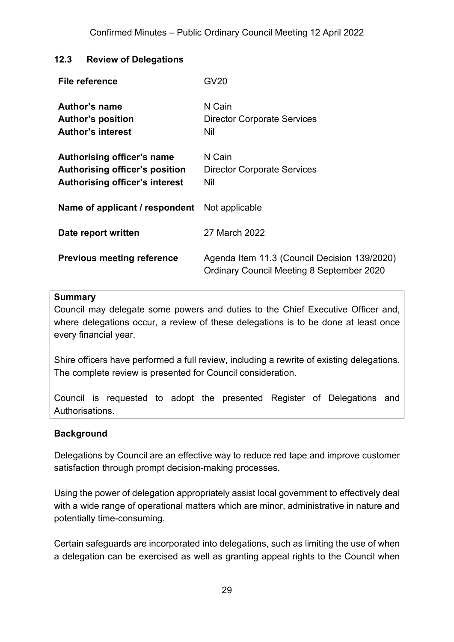#### <span id="page-28-0"></span>**12.3 Review of Delegations**

| File reference                                                                                        | GV20                                                                                             |
|-------------------------------------------------------------------------------------------------------|--------------------------------------------------------------------------------------------------|
| Author's name<br><b>Author's position</b><br><b>Author's interest</b>                                 | N Cain<br><b>Director Corporate Services</b><br>Nil                                              |
| Authorising officer's name<br>Authorising officer's position<br><b>Authorising officer's interest</b> | N Cain<br><b>Director Corporate Services</b><br><b>Nil</b>                                       |
| <b>Name of applicant / respondent</b> Not applicable                                                  |                                                                                                  |
| Date report written                                                                                   | 27 March 2022                                                                                    |
| <b>Previous meeting reference</b>                                                                     | Agenda Item 11.3 (Council Decision 139/2020)<br><b>Ordinary Council Meeting 8 September 2020</b> |

#### **Summary**

Council may delegate some powers and duties to the Chief Executive Officer and, where delegations occur, a review of these delegations is to be done at least once every financial year.

Shire officers have performed a full review, including a rewrite of existing delegations. The complete review is presented for Council consideration.

Council is requested to adopt the presented Register of Delegations and Authorisations.

#### **Background**

Delegations by Council are an effective way to reduce red tape and improve customer satisfaction through prompt decision-making processes.

Using the power of delegation appropriately assist local government to effectively deal with a wide range of operational matters which are minor, administrative in nature and potentially time-consuming.

Certain safeguards are incorporated into delegations, such as limiting the use of when a delegation can be exercised as well as granting appeal rights to the Council when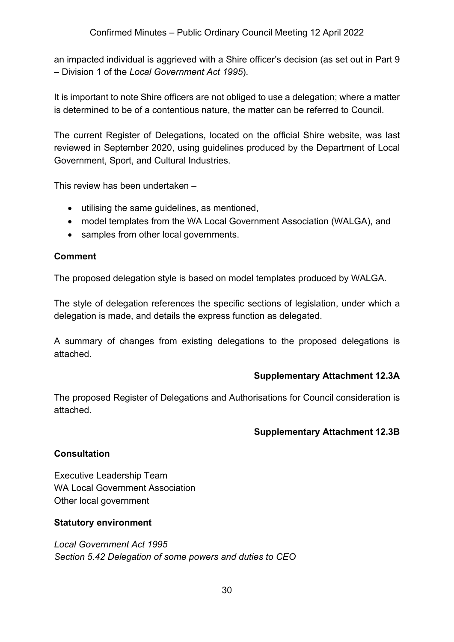an impacted individual is aggrieved with a Shire officer's decision (as set out in Part 9 – Division 1 of the *Local Government Act 1995*).

It is important to note Shire officers are not obliged to use a delegation; where a matter is determined to be of a contentious nature, the matter can be referred to Council.

The current Register of Delegations, located on the official Shire website, was last reviewed in September 2020, using guidelines produced by the Department of Local Government, Sport, and Cultural Industries.

This review has been undertaken –

- utilising the same guidelines, as mentioned,
- model templates from the WA Local Government Association (WALGA), and
- samples from other local governments.

#### **Comment**

The proposed delegation style is based on model templates produced by WALGA.

The style of delegation references the specific sections of legislation, under which a delegation is made, and details the express function as delegated.

A summary of changes from existing delegations to the proposed delegations is attached.

#### **Supplementary Attachment 12.3A**

The proposed Register of Delegations and Authorisations for Council consideration is attached.

#### **Supplementary Attachment 12.3B**

#### **Consultation**

Executive Leadership Team WA Local Government Association Other local government

#### **Statutory environment**

*Local Government Act 1995 Section 5.42 Delegation of some powers and duties to CEO*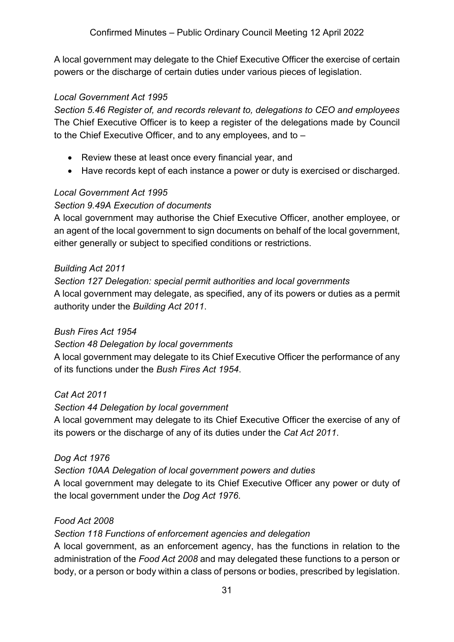A local government may delegate to the Chief Executive Officer the exercise of certain powers or the discharge of certain duties under various pieces of legislation.

#### *Local Government Act 1995*

*Section 5.46 Register of, and records relevant to, delegations to CEO and employees* The Chief Executive Officer is to keep a register of the delegations made by Council to the Chief Executive Officer, and to any employees, and to –

- Review these at least once every financial year, and
- Have records kept of each instance a power or duty is exercised or discharged.

#### *Local Government Act 1995*

#### *Section 9.49A Execution of documents*

A local government may authorise the Chief Executive Officer, another employee, or an agent of the local government to sign documents on behalf of the local government, either generally or subject to specified conditions or restrictions.

#### *Building Act 2011*

*Section 127 Delegation: special permit authorities and local governments* A local government may delegate, as specified, any of its powers or duties as a permit authority under the *Building Act 2011*.

#### *Bush Fires Act 1954*

#### *Section 48 Delegation by local governments*

A local government may delegate to its Chief Executive Officer the performance of any of its functions under the *Bush Fires Act 1954*.

#### *Cat Act 2011*

#### *Section 44 Delegation by local government*

A local government may delegate to its Chief Executive Officer the exercise of any of its powers or the discharge of any of its duties under the *Cat Act 2011*.

#### *Dog Act 1976*

#### *Section 10AA Delegation of local government powers and duties*

A local government may delegate to its Chief Executive Officer any power or duty of the local government under the *Dog Act 1976*.

#### *Food Act 2008*

*Section 118 Functions of enforcement agencies and delegation*

A local government, as an enforcement agency, has the functions in relation to the administration of the *Food Act 2008* and may delegated these functions to a person or body, or a person or body within a class of persons or bodies, prescribed by legislation.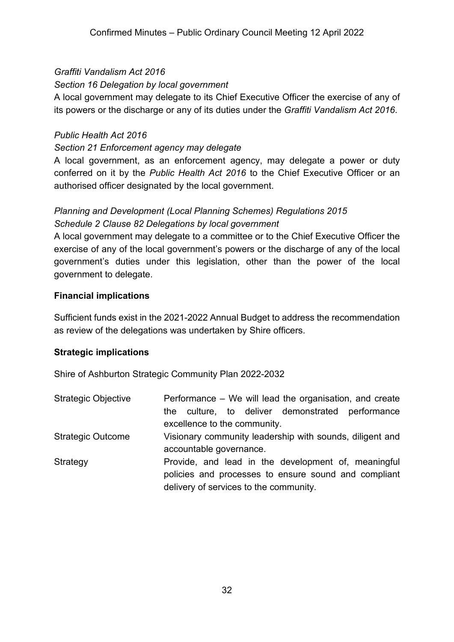#### *Graffiti Vandalism Act 2016*

#### *Section 16 Delegation by local government*

A local government may delegate to its Chief Executive Officer the exercise of any of its powers or the discharge or any of its duties under the *Graffiti Vandalism Act 2016*.

#### *Public Health Act 2016*

#### *Section 21 Enforcement agency may delegate*

A local government, as an enforcement agency, may delegate a power or duty conferred on it by the *Public Health Act 2016* to the Chief Executive Officer or an authorised officer designated by the local government.

#### *Planning and Development (Local Planning Schemes) Regulations 2015 Schedule 2 Clause 82 Delegations by local government*

A local government may delegate to a committee or to the Chief Executive Officer the exercise of any of the local government's powers or the discharge of any of the local government's duties under this legislation, other than the power of the local government to delegate.

#### **Financial implications**

Sufficient funds exist in the 2021-2022 Annual Budget to address the recommendation as review of the delegations was undertaken by Shire officers.

#### **Strategic implications**

Shire of Ashburton Strategic Community Plan 2022-2032

| <b>Strategic Objective</b> | Performance – We will lead the organisation, and create<br>the culture, to deliver demonstrated performance<br>excellence to the community.           |
|----------------------------|-------------------------------------------------------------------------------------------------------------------------------------------------------|
| <b>Strategic Outcome</b>   | Visionary community leadership with sounds, diligent and<br>accountable governance.                                                                   |
| Strategy                   | Provide, and lead in the development of, meaningful<br>policies and processes to ensure sound and compliant<br>delivery of services to the community. |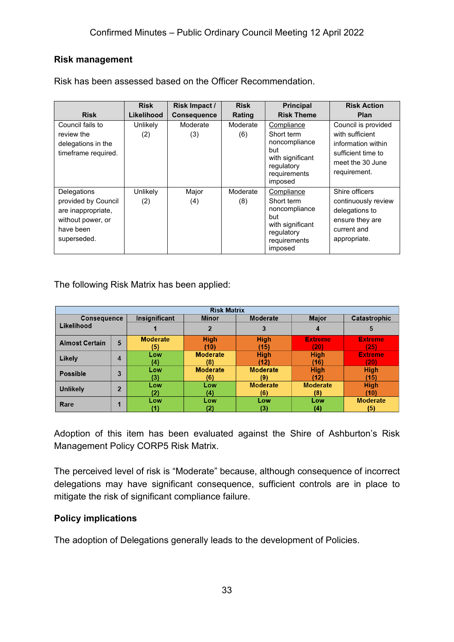#### **Risk management**

|                                                                                                           | <b>Risk</b>     | Risk Impact /      | <b>Risk</b>     | <b>Principal</b>                                                                                              | <b>Risk Action</b>                                                                                                     |
|-----------------------------------------------------------------------------------------------------------|-----------------|--------------------|-----------------|---------------------------------------------------------------------------------------------------------------|------------------------------------------------------------------------------------------------------------------------|
| <b>Risk</b>                                                                                               | Likelihood      | <b>Consequence</b> | Rating          | <b>Risk Theme</b>                                                                                             | Plan                                                                                                                   |
| Council fails to<br>review the<br>delegations in the<br>timeframe required.                               | Unlikely<br>(2) | Moderate<br>(3)    | Moderate<br>(6) | Compliance<br>Short term<br>noncompliance<br>but<br>with significant<br>regulatory<br>requirements<br>imposed | Council is provided<br>with sufficient<br>information within<br>sufficient time to<br>meet the 30 June<br>requirement. |
| Delegations<br>provided by Council<br>are inappropriate,<br>without power, or<br>have been<br>superseded. | Unlikely<br>(2) | Major<br>(4)       | Moderate<br>(8) | Compliance<br>Short term<br>noncompliance<br>but<br>with significant<br>regulatory<br>requirements<br>imposed | Shire officers<br>continuously review<br>delegations to<br>ensure they are<br>current and<br>appropriate.              |

Risk has been assessed based on the Officer Recommendation.

The following Risk Matrix has been applied:

| <b>Risk Matrix</b>    |                |                 |                          |                 |                 |                 |
|-----------------------|----------------|-----------------|--------------------------|-----------------|-----------------|-----------------|
| <b>Consequence</b>    |                | Insignificant   | Moderate<br><b>Minor</b> |                 | <b>Major</b>    | Catastrophic    |
| Likelihood            |                |                 |                          | 3               | 4               | 5               |
| <b>Almost Certain</b> |                | <b>Moderate</b> | <b>High</b>              | <b>High</b>     | <b>Extreme</b>  | <b>Extreme</b>  |
|                       | 5              | (5)             | (10)                     | (15)            | (20)            | (25)            |
| Likely                | 4              | Low             | <b>Moderate</b>          | <b>High</b>     | <b>High</b>     | <b>Extreme</b>  |
|                       |                | (4)             | (8)                      | (12)            | (16)            | (20)            |
| <b>Possible</b>       | 3              | Low             | <b>Moderate</b>          | <b>Moderate</b> | <b>High</b>     | <b>High</b>     |
|                       |                | (3)             | (6)                      | (9)             | (12)            | (15)            |
| <b>Unlikely</b>       | $\overline{2}$ | Low             | Low                      | <b>Moderate</b> | <b>Moderate</b> | <b>High</b>     |
|                       |                | (2)             | (4)                      | (6)             | (8)             | (10)            |
| Rare                  |                | Low             | Low                      | Low             | Low             | <b>Moderate</b> |
|                       |                |                 | (2)                      |                 | (4)             | (5)             |

Adoption of this item has been evaluated against the Shire of Ashburton's Risk Management Policy CORP5 Risk Matrix.

The perceived level of risk is "Moderate" because, although consequence of incorrect delegations may have significant consequence, sufficient controls are in place to mitigate the risk of significant compliance failure.

#### **Policy implications**

The adoption of Delegations generally leads to the development of Policies.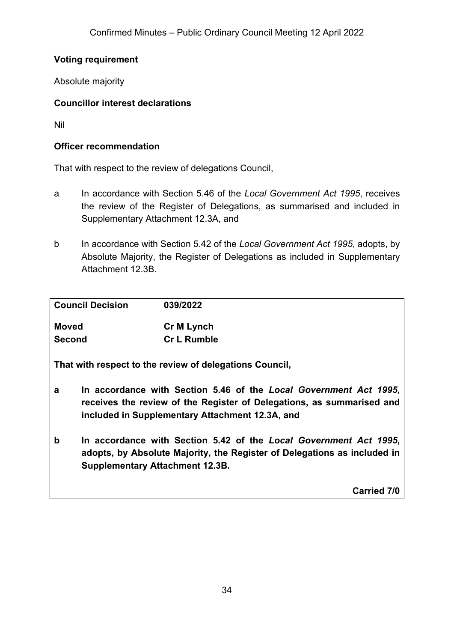#### **Voting requirement**

Absolute majority

#### **Councillor interest declarations**

Nil

#### **Officer recommendation**

That with respect to the review of delegations Council,

- a In accordance with Section 5.46 of the *Local Government Act 1995*, receives the review of the Register of Delegations, as summarised and included in Supplementary Attachment 12.3A, and
- b In accordance with Section 5.42 of the *Local Government Act 1995*, adopts, by Absolute Majority, the Register of Delegations as included in Supplementary Attachment 12.3B.

|               | <b>Council Decision</b><br>039/2022                                                                                                                                                     |                                                                                                                                                                                               |  |  |
|---------------|-----------------------------------------------------------------------------------------------------------------------------------------------------------------------------------------|-----------------------------------------------------------------------------------------------------------------------------------------------------------------------------------------------|--|--|
| <b>Moved</b>  |                                                                                                                                                                                         | <b>Cr M Lynch</b>                                                                                                                                                                             |  |  |
| <b>Second</b> |                                                                                                                                                                                         | <b>Cr L Rumble</b>                                                                                                                                                                            |  |  |
|               |                                                                                                                                                                                         | That with respect to the review of delegations Council,                                                                                                                                       |  |  |
| a             |                                                                                                                                                                                         | In accordance with Section 5.46 of the Local Government Act 1995,<br>receives the review of the Register of Delegations, as summarised and<br>included in Supplementary Attachment 12.3A, and |  |  |
| b             | In accordance with Section 5.42 of the Local Government Act 1995,<br>adopts, by Absolute Majority, the Register of Delegations as included in<br><b>Supplementary Attachment 12.3B.</b> |                                                                                                                                                                                               |  |  |
|               |                                                                                                                                                                                         | <b>Carried 7/0</b>                                                                                                                                                                            |  |  |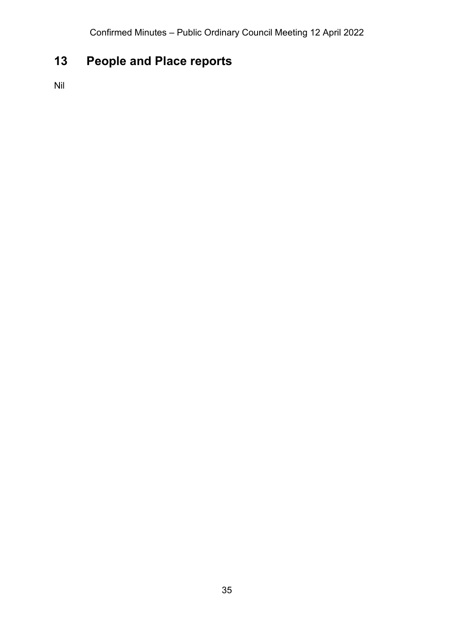# <span id="page-34-0"></span>**13 People and Place reports**

Nil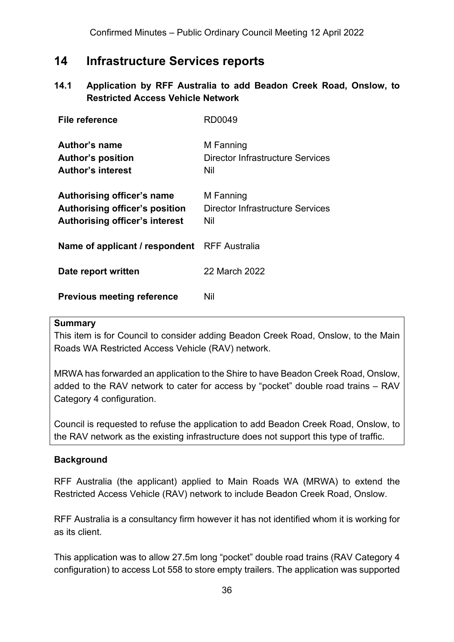## <span id="page-35-0"></span>**14 Infrastructure Services reports**

#### <span id="page-35-1"></span>**14.1 Application by RFF Australia to add Beadon Creek Road, Onslow, to Restricted Access Vehicle Network**

| File reference                                                                                               | RD0049                                                             |
|--------------------------------------------------------------------------------------------------------------|--------------------------------------------------------------------|
| Author's name<br><b>Author's position</b><br><b>Author's interest</b>                                        | M Fanning<br>Director Infrastructure Services<br>Nil               |
| Authorising officer's name<br><b>Authorising officer's position</b><br><b>Authorising officer's interest</b> | M Fanning<br><b>Director Infrastructure Services</b><br><b>Nil</b> |
| Name of applicant / respondent RFF Australia                                                                 |                                                                    |
| Date report written                                                                                          | 22 March 2022                                                      |
| <b>Previous meeting reference</b>                                                                            | Nil                                                                |

#### **Summary**

This item is for Council to consider adding Beadon Creek Road, Onslow, to the Main Roads WA Restricted Access Vehicle (RAV) network.

MRWA has forwarded an application to the Shire to have Beadon Creek Road, Onslow, added to the RAV network to cater for access by "pocket" double road trains – RAV Category 4 configuration.

Council is requested to refuse the application to add Beadon Creek Road, Onslow, to the RAV network as the existing infrastructure does not support this type of traffic.

#### **Background**

RFF Australia (the applicant) applied to Main Roads WA (MRWA) to extend the Restricted Access Vehicle (RAV) network to include Beadon Creek Road, Onslow.

RFF Australia is a consultancy firm however it has not identified whom it is working for as its client.

This application was to allow 27.5m long "pocket" double road trains (RAV Category 4 configuration) to access Lot 558 to store empty trailers. The application was supported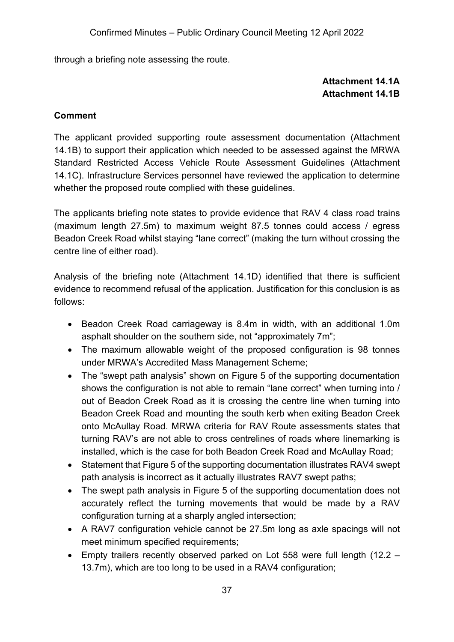through a briefing note assessing the route.

## **Attachment 14.1A Attachment 14.1B**

#### **Comment**

The applicant provided supporting route assessment documentation (Attachment 14.1B) to support their application which needed to be assessed against the MRWA Standard Restricted Access Vehicle Route Assessment Guidelines (Attachment 14.1C). Infrastructure Services personnel have reviewed the application to determine whether the proposed route complied with these guidelines.

The applicants briefing note states to provide evidence that RAV 4 class road trains (maximum length 27.5m) to maximum weight 87.5 tonnes could access / egress Beadon Creek Road whilst staying "lane correct" (making the turn without crossing the centre line of either road).

Analysis of the briefing note (Attachment 14.1D) identified that there is sufficient evidence to recommend refusal of the application. Justification for this conclusion is as follows:

- Beadon Creek Road carriageway is 8.4m in width, with an additional 1.0m asphalt shoulder on the southern side, not "approximately 7m";
- The maximum allowable weight of the proposed configuration is 98 tonnes under MRWA's Accredited Mass Management Scheme;
- The "swept path analysis" shown on Figure 5 of the supporting documentation shows the configuration is not able to remain "lane correct" when turning into / out of Beadon Creek Road as it is crossing the centre line when turning into Beadon Creek Road and mounting the south kerb when exiting Beadon Creek onto McAullay Road. MRWA criteria for RAV Route assessments states that turning RAV's are not able to cross centrelines of roads where linemarking is installed, which is the case for both Beadon Creek Road and McAullay Road;
- Statement that Figure 5 of the supporting documentation illustrates RAV4 swept path analysis is incorrect as it actually illustrates RAV7 swept paths;
- The swept path analysis in Figure 5 of the supporting documentation does not accurately reflect the turning movements that would be made by a RAV configuration turning at a sharply angled intersection;
- A RAV7 configuration vehicle cannot be 27.5m long as axle spacings will not meet minimum specified requirements;
- Empty trailers recently observed parked on Lot 558 were full length (12.2 13.7m), which are too long to be used in a RAV4 configuration;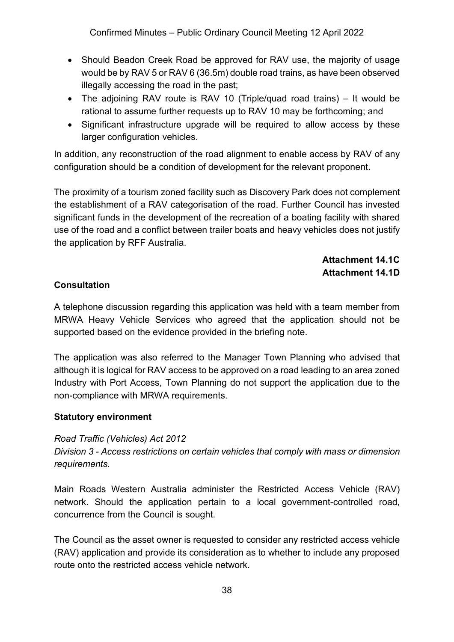Confirmed Minutes – Public Ordinary Council Meeting 12 April 2022

- Should Beadon Creek Road be approved for RAV use, the majority of usage would be by RAV 5 or RAV 6 (36.5m) double road trains, as have been observed illegally accessing the road in the past;
- The adjoining RAV route is RAV 10 (Triple/quad road trains) It would be rational to assume further requests up to RAV 10 may be forthcoming; and
- Significant infrastructure upgrade will be required to allow access by these larger configuration vehicles.

In addition, any reconstruction of the road alignment to enable access by RAV of any configuration should be a condition of development for the relevant proponent.

The proximity of a tourism zoned facility such as Discovery Park does not complement the establishment of a RAV categorisation of the road. Further Council has invested significant funds in the development of the recreation of a boating facility with shared use of the road and a conflict between trailer boats and heavy vehicles does not justify the application by RFF Australia.

> **Attachment 14.1C Attachment 14.1D**

## **Consultation**

A telephone discussion regarding this application was held with a team member from MRWA Heavy Vehicle Services who agreed that the application should not be supported based on the evidence provided in the briefing note.

The application was also referred to the Manager Town Planning who advised that although it is logical for RAV access to be approved on a road leading to an area zoned Industry with Port Access, Town Planning do not support the application due to the non-compliance with MRWA requirements.

#### **Statutory environment**

#### *Road Traffic (Vehicles) Act 2012*

*Division 3 - Access restrictions on certain vehicles that comply with mass or dimension requirements.*

Main Roads Western Australia administer the Restricted Access Vehicle (RAV) network. Should the application pertain to a local government-controlled road, concurrence from the Council is sought.

The Council as the asset owner is requested to consider any restricted access vehicle (RAV) application and provide its consideration as to whether to include any proposed route onto the restricted access vehicle network.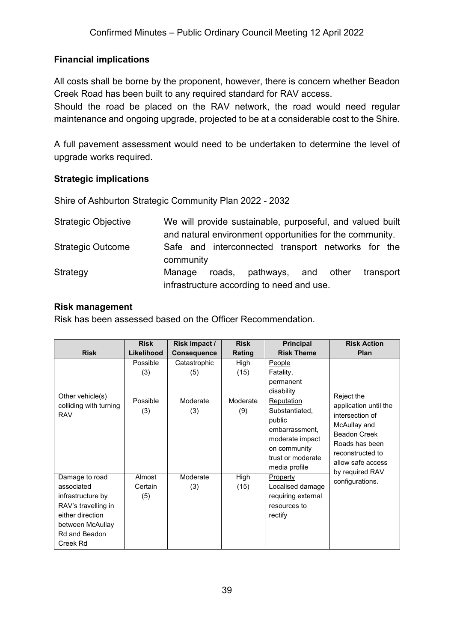## **Financial implications**

All costs shall be borne by the proponent, however, there is concern whether Beadon Creek Road has been built to any required standard for RAV access.

Should the road be placed on the RAV network, the road would need regular maintenance and ongoing upgrade, projected to be at a considerable cost to the Shire.

A full pavement assessment would need to be undertaken to determine the level of upgrade works required.

#### **Strategic implications**

Shire of Ashburton Strategic Community Plan 2022 - 2032

| <b>Strategic Objective</b> | We will provide sustainable, purposeful, and valued built       |
|----------------------------|-----------------------------------------------------------------|
|                            | and natural environment opportunities for the community.        |
| <b>Strategic Outcome</b>   | Safe and interconnected transport networks for the<br>community |
| Strategy                   | roads, pathways, and other<br>transport<br>Manage               |
|                            | infrastructure according to need and use.                       |

#### **Risk management**

Risk has been assessed based on the Officer Recommendation.

|                                                                                                                                               | <b>Risk</b>                        | Risk Impact /                          | <b>Risk</b>                     | <b>Principal</b>                                                                                                                                                                                  | <b>Risk Action</b>                                                                                                                                                          |
|-----------------------------------------------------------------------------------------------------------------------------------------------|------------------------------------|----------------------------------------|---------------------------------|---------------------------------------------------------------------------------------------------------------------------------------------------------------------------------------------------|-----------------------------------------------------------------------------------------------------------------------------------------------------------------------------|
| <b>Risk</b>                                                                                                                                   | Likelihood                         | <b>Consequence</b>                     | Rating                          | <b>Risk Theme</b>                                                                                                                                                                                 | <b>Plan</b>                                                                                                                                                                 |
| Other vehicle(s)<br>colliding with turning<br><b>RAV</b>                                                                                      | Possible<br>(3)<br>Possible<br>(3) | Catastrophic<br>(5)<br>Moderate<br>(3) | High<br>(15)<br>Moderate<br>(9) | <b>People</b><br>Fatality,<br>permanent<br>disability<br><b>Reputation</b><br>Substantiated,<br>public<br>embarrassment,<br>moderate impact<br>on community<br>trust or moderate<br>media profile | Reject the<br>application until the<br>intersection of<br>McAullay and<br><b>Beadon Creek</b><br>Roads has been<br>reconstructed to<br>allow safe access<br>by required RAV |
| Damage to road<br>associated<br>infrastructure by<br>RAV's travelling in<br>either direction<br>between McAullay<br>Rd and Beadon<br>Creek Rd | Almost<br>Certain<br>(5)           | Moderate<br>(3)                        | High<br>(15)                    | Property<br>Localised damage<br>requiring external<br>resources to<br>rectify                                                                                                                     | configurations.                                                                                                                                                             |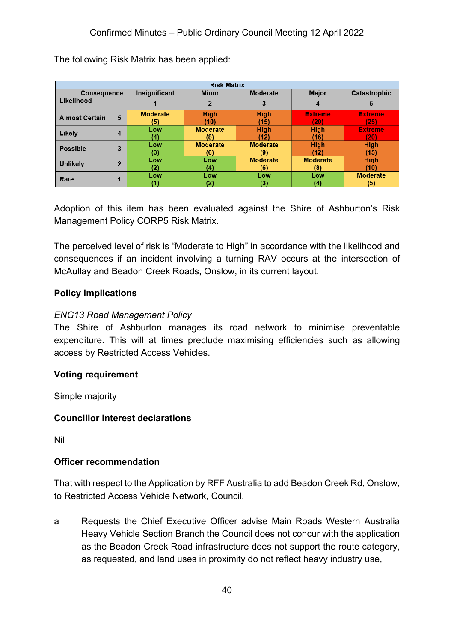| <b>Risk Matrix</b>    |                |                 |                                 |                 |                 |                 |
|-----------------------|----------------|-----------------|---------------------------------|-----------------|-----------------|-----------------|
| <b>Consequence</b>    |                | Insignificant   | <b>Moderate</b><br><b>Minor</b> |                 | <b>Major</b>    | Catastrophic    |
| Likelihood            |                |                 |                                 | 3               | 4               | 5               |
| <b>Almost Certain</b> | 5              | <b>Moderate</b> | <b>High</b>                     | <b>High</b>     | <b>Extreme</b>  | <b>Extreme</b>  |
|                       |                | (5)             | (10)                            | (15)            | 20)             | (25)            |
| Likely                |                | Low             | <b>Moderate</b>                 | <b>High</b>     | <b>High</b>     | <b>Extreme</b>  |
|                       | 4              | (4)             | (8)                             | (12)            | (16)            | (20)            |
| <b>Possible</b>       | 3              | Low             | <b>Moderate</b>                 | <b>Moderate</b> | <b>High</b>     | <b>High</b>     |
|                       |                | (3)             | (6)                             | (9)             | (12)            | (15)            |
| <b>Unlikely</b>       | $\overline{2}$ | Low             | Low                             | <b>Moderate</b> | <b>Moderate</b> | <b>High</b>     |
|                       |                | '2)             | (4)                             | (6)             | (8)             | (10)            |
| Rare                  | п              | Low             | Low                             | Low             | Low             | <b>Moderate</b> |
|                       |                |                 | '2)                             | (3)             | (4)             | (5)             |

The following Risk Matrix has been applied:

Adoption of this item has been evaluated against the Shire of Ashburton's Risk Management Policy CORP5 Risk Matrix.

The perceived level of risk is "Moderate to High" in accordance with the likelihood and consequences if an incident involving a turning RAV occurs at the intersection of McAullay and Beadon Creek Roads, Onslow, in its current layout.

#### **Policy implications**

#### *ENG13 Road Management Policy*

The Shire of Ashburton manages its road network to minimise preventable expenditure. This will at times preclude maximising efficiencies such as allowing access by Restricted Access Vehicles.

#### **Voting requirement**

Simple majority

#### **Councillor interest declarations**

Nil

#### **Officer recommendation**

That with respect to the Application by RFF Australia to add Beadon Creek Rd, Onslow, to Restricted Access Vehicle Network, Council,

a Requests the Chief Executive Officer advise Main Roads Western Australia Heavy Vehicle Section Branch the Council does not concur with the application as the Beadon Creek Road infrastructure does not support the route category, as requested, and land uses in proximity do not reflect heavy industry use,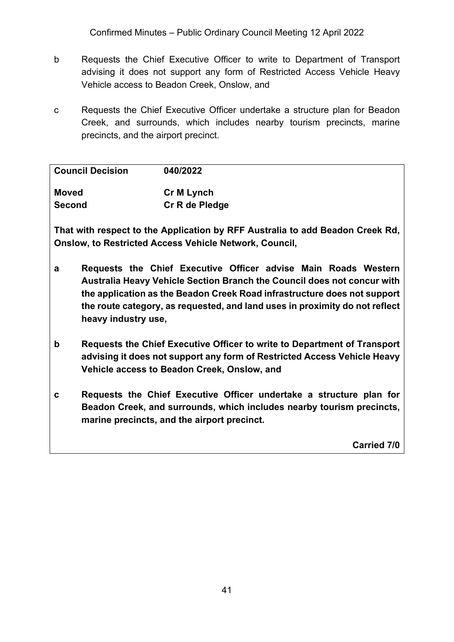Confirmed Minutes – Public Ordinary Council Meeting 12 April 2022

- b Requests the Chief Executive Officer to write to Department of Transport advising it does not support any form of Restricted Access Vehicle Heavy Vehicle access to Beadon Creek, Onslow, and
- c Requests the Chief Executive Officer undertake a structure plan for Beadon Creek, and surrounds, which includes nearby tourism precincts, marine precincts, and the airport precinct.

| <b>Council Decision</b> | 040/2022       |
|-------------------------|----------------|
| <b>Moved</b>            | Cr M Lynch     |
| <b>Second</b>           | Cr R de Pledge |

**That with respect to the Application by RFF Australia to add Beadon Creek Rd, Onslow, to Restricted Access Vehicle Network, Council,**

- **a Requests the Chief Executive Officer advise Main Roads Western Australia Heavy Vehicle Section Branch the Council does not concur with the application as the Beadon Creek Road infrastructure does not support the route category, as requested, and land uses in proximity do not reflect heavy industry use,**
- **b Requests the Chief Executive Officer to write to Department of Transport advising it does not support any form of Restricted Access Vehicle Heavy Vehicle access to Beadon Creek, Onslow, and**
- **c Requests the Chief Executive Officer undertake a structure plan for Beadon Creek, and surrounds, which includes nearby tourism precincts, marine precincts, and the airport precinct.**

**Carried 7/0**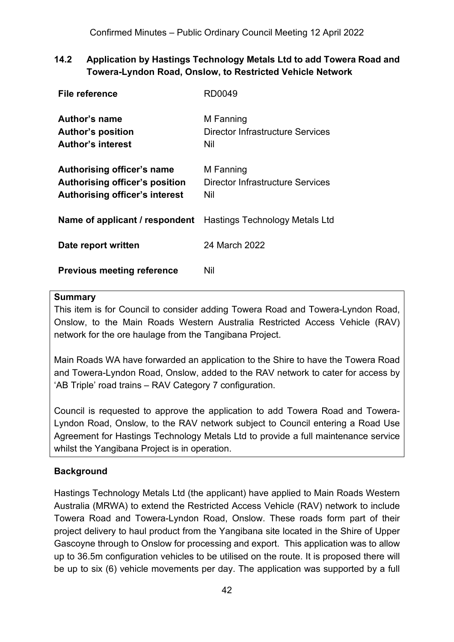## **14.2 Application by Hastings Technology Metals Ltd to add Towera Road and Towera-Lyndon Road, Onslow, to Restricted Vehicle Network**

| File reference                                                                                               | RD0049                                               |
|--------------------------------------------------------------------------------------------------------------|------------------------------------------------------|
| Author's name<br><b>Author's position</b><br><b>Author's interest</b>                                        | M Fanning<br>Director Infrastructure Services<br>Nil |
| <b>Authorising officer's name</b><br>Authorising officer's position<br><b>Authorising officer's interest</b> | M Fanning<br>Director Infrastructure Services<br>Nil |
| <b>Name of applicant / respondent</b> Hastings Technology Metals Ltd                                         |                                                      |
| Date report written                                                                                          | 24 March 2022                                        |
| <b>Previous meeting reference</b>                                                                            | Nil                                                  |

#### **Summary**

This item is for Council to consider adding Towera Road and Towera-Lyndon Road, Onslow, to the Main Roads Western Australia Restricted Access Vehicle (RAV) network for the ore haulage from the Tangibana Project.

Main Roads WA have forwarded an application to the Shire to have the Towera Road and Towera-Lyndon Road, Onslow, added to the RAV network to cater for access by 'AB Triple' road trains – RAV Category 7 configuration.

Council is requested to approve the application to add Towera Road and Towera-Lyndon Road, Onslow, to the RAV network subject to Council entering a Road Use Agreement for Hastings Technology Metals Ltd to provide a full maintenance service whilst the Yangibana Project is in operation.

## **Background**

Hastings Technology Metals Ltd (the applicant) have applied to Main Roads Western Australia (MRWA) to extend the Restricted Access Vehicle (RAV) network to include Towera Road and Towera-Lyndon Road, Onslow. These roads form part of their project delivery to haul product from the Yangibana site located in the Shire of Upper Gascoyne through to Onslow for processing and export. This application was to allow up to 36.5m configuration vehicles to be utilised on the route. It is proposed there will be up to six (6) vehicle movements per day. The application was supported by a full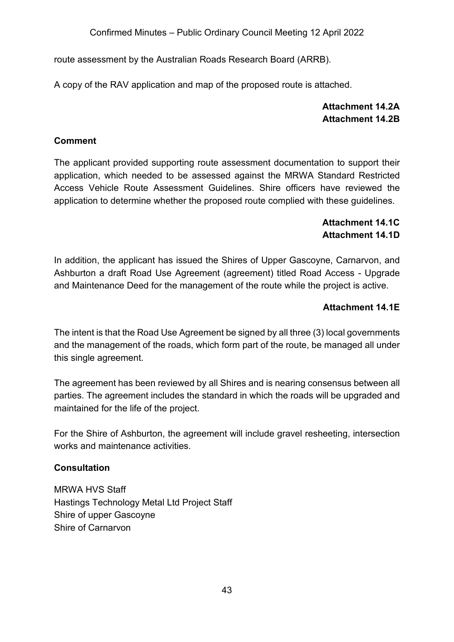route assessment by the Australian Roads Research Board (ARRB).

A copy of the RAV application and map of the proposed route is attached.

## **Attachment 14.2A Attachment 14.2B**

#### **Comment**

The applicant provided supporting route assessment documentation to support their application, which needed to be assessed against the MRWA Standard Restricted Access Vehicle Route Assessment Guidelines. Shire officers have reviewed the application to determine whether the proposed route complied with these guidelines.

## **Attachment 14.1C Attachment 14.1D**

In addition, the applicant has issued the Shires of Upper Gascoyne, Carnarvon, and Ashburton a draft Road Use Agreement (agreement) titled Road Access - Upgrade and Maintenance Deed for the management of the route while the project is active.

## **Attachment 14.1E**

The intent is that the Road Use Agreement be signed by all three (3) local governments and the management of the roads, which form part of the route, be managed all under this single agreement.

The agreement has been reviewed by all Shires and is nearing consensus between all parties. The agreement includes the standard in which the roads will be upgraded and maintained for the life of the project.

For the Shire of Ashburton, the agreement will include gravel resheeting, intersection works and maintenance activities.

#### **Consultation**

MRWA HVS Staff Hastings Technology Metal Ltd Project Staff Shire of upper Gascoyne Shire of Carnarvon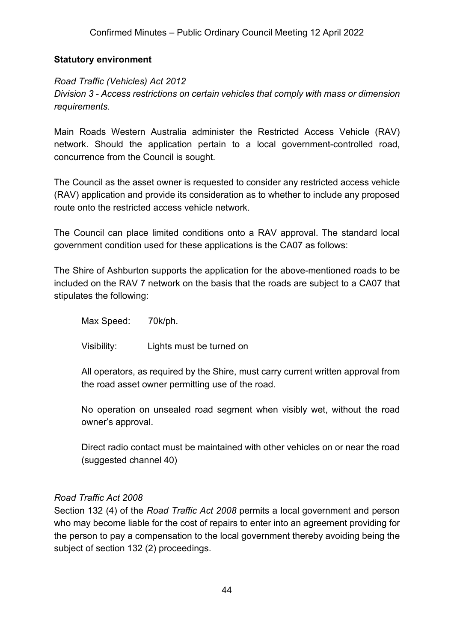#### **Statutory environment**

## *Road Traffic (Vehicles) Act 2012 Division 3 - Access restrictions on certain vehicles that comply with mass or dimension requirements.*

Main Roads Western Australia administer the Restricted Access Vehicle (RAV) network. Should the application pertain to a local government-controlled road, concurrence from the Council is sought.

The Council as the asset owner is requested to consider any restricted access vehicle (RAV) application and provide its consideration as to whether to include any proposed route onto the restricted access vehicle network.

The Council can place limited conditions onto a RAV approval. The standard local government condition used for these applications is the CA07 as follows:

The Shire of Ashburton supports the application for the above-mentioned roads to be included on the RAV 7 network on the basis that the roads are subject to a CA07 that stipulates the following:

Max Speed: 70k/ph.

Visibility: Lights must be turned on

All operators, as required by the Shire, must carry current written approval from the road asset owner permitting use of the road.

No operation on unsealed road segment when visibly wet, without the road owner's approval.

Direct radio contact must be maintained with other vehicles on or near the road (suggested channel 40)

#### *Road Traffic Act 2008*

Section 132 (4) of the *Road Traffic Act 2008* permits a local government and person who may become liable for the cost of repairs to enter into an agreement providing for the person to pay a compensation to the local government thereby avoiding being the subject of section 132 (2) proceedings.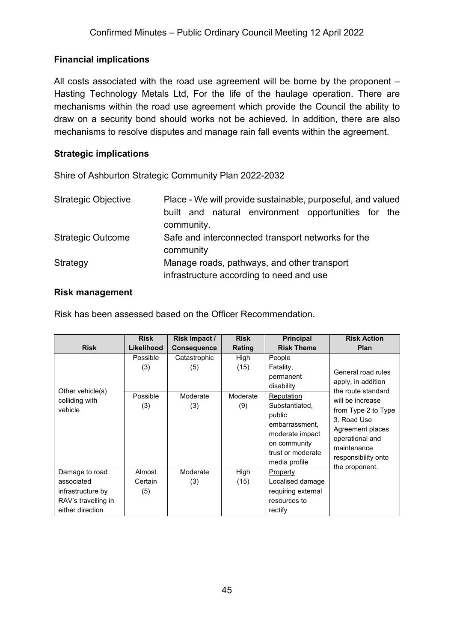## **Financial implications**

All costs associated with the road use agreement will be borne by the proponent – Hasting Technology Metals Ltd, For the life of the haulage operation. There are mechanisms within the road use agreement which provide the Council the ability to draw on a security bond should works not be achieved. In addition, there are also mechanisms to resolve disputes and manage rain fall events within the agreement.

#### **Strategic implications**

Shire of Ashburton Strategic Community Plan 2022-2032

| <b>Strategic Objective</b> | Place - We will provide sustainable, purposeful, and valued          |  |  |  |  |
|----------------------------|----------------------------------------------------------------------|--|--|--|--|
|                            | built and natural environment opportunities for<br>the<br>community. |  |  |  |  |
| <b>Strategic Outcome</b>   | Safe and interconnected transport networks for the<br>community      |  |  |  |  |
| Strategy                   | Manage roads, pathways, and other transport                          |  |  |  |  |
|                            | infrastructure according to need and use                             |  |  |  |  |

#### **Risk management**

Risk has been assessed based on the Officer Recommendation.

|                                                              | <b>Risk</b>                        | Risk Impact /                          | <b>Risk</b>                     | <b>Principal</b>                                                                                                                                                                           | <b>Risk Action</b>                                                                                                                                                                                                      |
|--------------------------------------------------------------|------------------------------------|----------------------------------------|---------------------------------|--------------------------------------------------------------------------------------------------------------------------------------------------------------------------------------------|-------------------------------------------------------------------------------------------------------------------------------------------------------------------------------------------------------------------------|
| <b>Risk</b>                                                  | Likelihood                         | <b>Consequence</b>                     | Rating                          | <b>Risk Theme</b>                                                                                                                                                                          | Plan                                                                                                                                                                                                                    |
| Other vehicle(s)<br>colliding with<br>vehicle                | Possible<br>(3)<br>Possible<br>(3) | Catastrophic<br>(5)<br>Moderate<br>(3) | High<br>(15)<br>Moderate<br>(9) | <b>People</b><br>Fatality,<br>permanent<br>disability<br>Reputation<br>Substantiated,<br>public<br>embarrassment,<br>moderate impact<br>on community<br>trust or moderate<br>media profile | General road rules<br>apply, in addition<br>the route standard<br>will be increase<br>from Type 2 to Type<br>3. Road Use<br>Agreement places<br>operational and<br>maintenance<br>responsibility onto<br>the proponent. |
| Damage to road<br>associated                                 | Almost<br>Certain                  | Moderate<br>(3)                        | High<br>(15)                    | Property<br>Localised damage                                                                                                                                                               |                                                                                                                                                                                                                         |
| infrastructure by<br>RAV's travelling in<br>either direction | (5)                                |                                        |                                 | requiring external<br>resources to<br>rectify                                                                                                                                              |                                                                                                                                                                                                                         |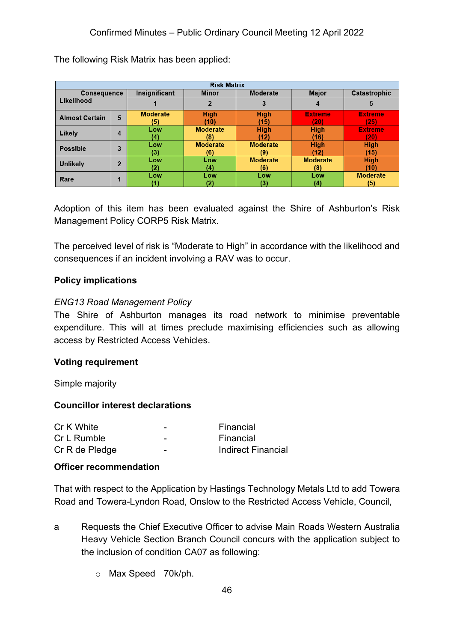| <b>Risk Matrix</b>    |                |                 |                                 |                 |                 |                 |
|-----------------------|----------------|-----------------|---------------------------------|-----------------|-----------------|-----------------|
| <b>Consequence</b>    |                | Insignificant   | <b>Moderate</b><br><b>Minor</b> |                 | <b>Major</b>    | Catastrophic    |
| Likelihood            |                |                 |                                 | 3               | 4               | 5               |
| <b>Almost Certain</b> | 5              | <b>Moderate</b> | <b>High</b>                     | <b>High</b>     | <b>Extreme</b>  | <b>Extreme</b>  |
|                       |                | (5)             | (10)                            | (15)            | 201             | (25)            |
| Likely                | 4              | Low             | <b>Moderate</b>                 | <b>High</b>     | <b>High</b>     | <b>Extreme</b>  |
|                       |                | (4)             | (8)                             | (12)            | (16)            | (20)            |
| <b>Possible</b>       | 3              | Low             | <b>Moderate</b>                 | <b>Moderate</b> | <b>High</b>     | <b>High</b>     |
|                       |                | (3)             | (6)                             | (9)             | (12)            | (15)            |
| <b>Unlikely</b>       | $\overline{2}$ | Low             | Low                             | <b>Moderate</b> | <b>Moderate</b> | <b>High</b>     |
|                       |                | 12).            | (4)                             | (6)             | (8)             | (10)            |
| Rare                  | и              | Low             | Low                             | Low             | Low             | <b>Moderate</b> |
|                       |                |                 | (2)                             | (3)             | (4)             | (5)             |

The following Risk Matrix has been applied:

Adoption of this item has been evaluated against the Shire of Ashburton's Risk Management Policy CORP5 Risk Matrix.

The perceived level of risk is "Moderate to High" in accordance with the likelihood and consequences if an incident involving a RAV was to occur.

#### **Policy implications**

#### *ENG13 Road Management Policy*

The Shire of Ashburton manages its road network to minimise preventable expenditure. This will at times preclude maximising efficiencies such as allowing access by Restricted Access Vehicles.

#### **Voting requirement**

Simple majority

#### **Councillor interest declarations**

| Cr K White     | - | Financial                 |
|----------------|---|---------------------------|
| Cr L Rumble    | - | Financial                 |
| Cr R de Pledge | - | <b>Indirect Financial</b> |

#### **Officer recommendation**

That with respect to the Application by Hastings Technology Metals Ltd to add Towera Road and Towera-Lyndon Road, Onslow to the Restricted Access Vehicle, Council,

- a Requests the Chief Executive Officer to advise Main Roads Western Australia Heavy Vehicle Section Branch Council concurs with the application subject to the inclusion of condition CA07 as following:
	- o Max Speed 70k/ph.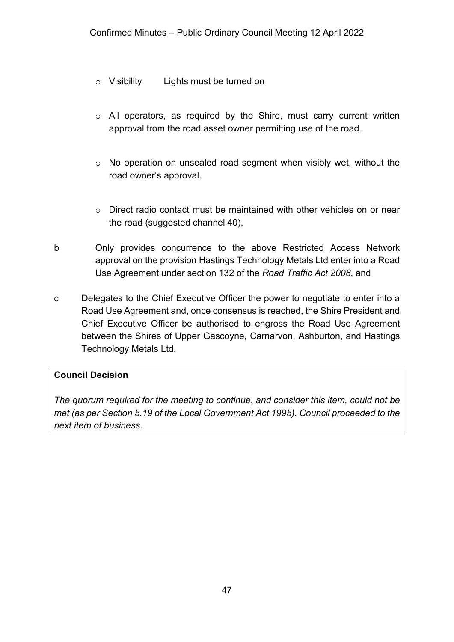- o Visibility Lights must be turned on
- o All operators, as required by the Shire, must carry current written approval from the road asset owner permitting use of the road.
- o No operation on unsealed road segment when visibly wet, without the road owner's approval.
- $\circ$  Direct radio contact must be maintained with other vehicles on or near the road (suggested channel 40),
- b Only provides concurrence to the above Restricted Access Network approval on the provision Hastings Technology Metals Ltd enter into a Road Use Agreement under section 132 of the *Road Traffic Act 2008*, and
- c Delegates to the Chief Executive Officer the power to negotiate to enter into a Road Use Agreement and, once consensus is reached, the Shire President and Chief Executive Officer be authorised to engross the Road Use Agreement between the Shires of Upper Gascoyne, Carnarvon, Ashburton, and Hastings Technology Metals Ltd.

## **Council Decision**

*The quorum required for the meeting to continue, and consider this item, could not be met (as per Section 5.19 of the Local Government Act 1995). Council proceeded to the next item of business.*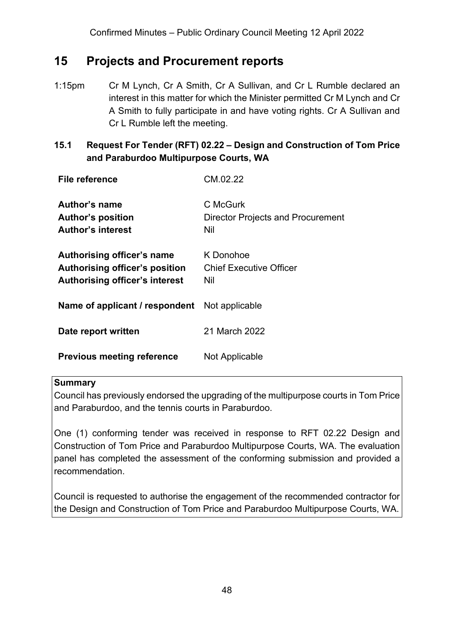## **15 Projects and Procurement reports**

1:15pm Cr M Lynch, Cr A Smith, Cr A Sullivan, and Cr L Rumble declared an interest in this matter for which the Minister permitted Cr M Lynch and Cr A Smith to fully participate in and have voting rights. Cr A Sullivan and Cr L Rumble left the meeting.

## **15.1 Request For Tender (RFT) 02.22 – Design and Construction of Tom Price and Paraburdoo Multipurpose Courts, WA**

| <b>File reference</b>                                                                                 | CM.02.22                                                    |
|-------------------------------------------------------------------------------------------------------|-------------------------------------------------------------|
| Author's name<br><b>Author's position</b><br><b>Author's interest</b>                                 | C McGurk<br><b>Director Projects and Procurement</b><br>Nil |
| Authorising officer's name<br>Authorising officer's position<br><b>Authorising officer's interest</b> | K Donohoe<br><b>Chief Executive Officer</b><br>Nil          |
| Name of applicant / respondent                                                                        | Not applicable                                              |
| Date report written                                                                                   | 21 March 2022                                               |
| <b>Previous meeting reference</b>                                                                     | Not Applicable                                              |

#### **Summary**

Council has previously endorsed the upgrading of the multipurpose courts in Tom Price and Paraburdoo, and the tennis courts in Paraburdoo.

One (1) conforming tender was received in response to RFT 02.22 Design and Construction of Tom Price and Paraburdoo Multipurpose Courts, WA. The evaluation panel has completed the assessment of the conforming submission and provided a recommendation.

Council is requested to authorise the engagement of the recommended contractor for the Design and Construction of Tom Price and Paraburdoo Multipurpose Courts, WA.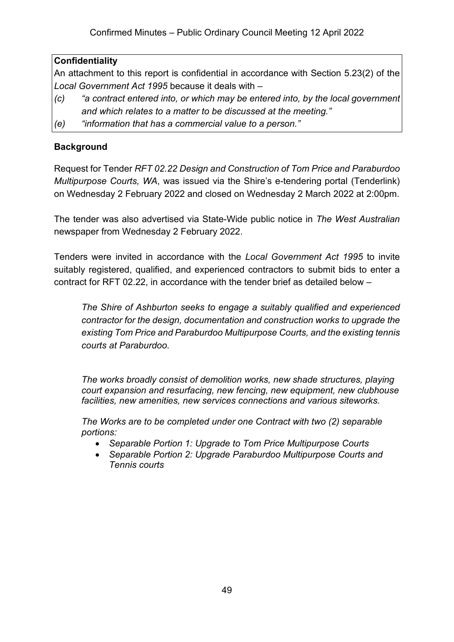## **Confidentiality**

An attachment to this report is confidential in accordance with Section 5.23(2) of the *Local Government Act 1995* because it deals with –

- *(c) "a contract entered into, or which may be entered into, by the local government and which relates to a matter to be discussed at the meeting."*
- *(e) "information that has a commercial value to a person."*

## **Background**

Request for Tender *RFT 02.22 Design and Construction of Tom Price and Paraburdoo Multipurpose Courts, WA*, was issued via the Shire's e-tendering portal (Tenderlink) on Wednesday 2 February 2022 and closed on Wednesday 2 March 2022 at 2:00pm.

The tender was also advertised via State-Wide public notice in *The West Australian* newspaper from Wednesday 2 February 2022.

Tenders were invited in accordance with the *Local Government Act 1995* to invite suitably registered, qualified, and experienced contractors to submit bids to enter a contract for RFT 02.22, in accordance with the tender brief as detailed below –

*The Shire of Ashburton seeks to engage a suitably qualified and experienced contractor for the design, documentation and construction works to upgrade the existing Tom Price and Paraburdoo Multipurpose Courts, and the existing tennis courts at Paraburdoo.*

*The works broadly consist of demolition works, new shade structures, playing court expansion and resurfacing, new fencing, new equipment, new clubhouse facilities, new amenities, new services connections and various siteworks.* 

*The Works are to be completed under one Contract with two (2) separable portions:*

- *Separable Portion 1: Upgrade to Tom Price Multipurpose Courts*
- *Separable Portion 2: Upgrade Paraburdoo Multipurpose Courts and Tennis courts*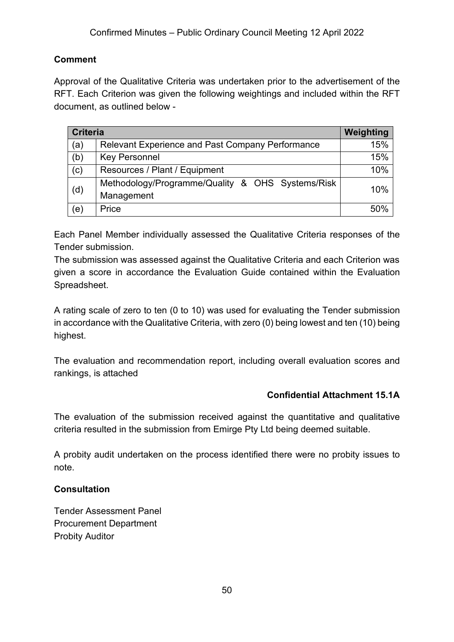## **Comment**

Approval of the Qualitative Criteria was undertaken prior to the advertisement of the RFT. Each Criterion was given the following weightings and included within the RFT document, as outlined below -

|     | <b>Criteria</b>                                         |     |
|-----|---------------------------------------------------------|-----|
| (a) | <b>Relevant Experience and Past Company Performance</b> | 15% |
| (b) | <b>Key Personnel</b>                                    | 15% |
| (c) | Resources / Plant / Equipment                           | 10% |
| (d) | Methodology/Programme/Quality & OHS Systems/Risk        | 10% |
|     | Management                                              |     |
| (e) | Price                                                   | 50% |

Each Panel Member individually assessed the Qualitative Criteria responses of the Tender submission.

The submission was assessed against the Qualitative Criteria and each Criterion was given a score in accordance the Evaluation Guide contained within the Evaluation Spreadsheet.

A rating scale of zero to ten (0 to 10) was used for evaluating the Tender submission in accordance with the Qualitative Criteria, with zero (0) being lowest and ten (10) being highest.

The evaluation and recommendation report, including overall evaluation scores and rankings, is attached

## **Confidential Attachment 15.1A**

The evaluation of the submission received against the quantitative and qualitative criteria resulted in the submission from Emirge Pty Ltd being deemed suitable.

A probity audit undertaken on the process identified there were no probity issues to note.

## **Consultation**

Tender Assessment Panel Procurement Department Probity Auditor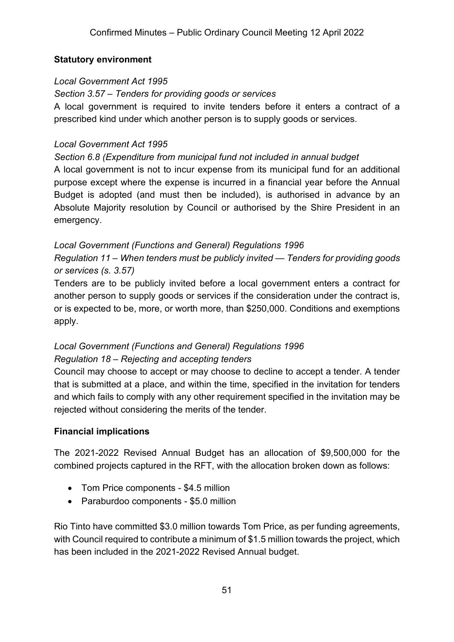#### **Statutory environment**

#### *Local Government Act 1995*

*Section 3.57 – Tenders for providing goods or services*

A local government is required to invite tenders before it enters a contract of a prescribed kind under which another person is to supply goods or services.

#### *Local Government Act 1995*

#### *Section 6.8 (Expenditure from municipal fund not included in annual budget*

A local government is not to incur expense from its municipal fund for an additional purpose except where the expense is incurred in a financial year before the Annual Budget is adopted (and must then be included), is authorised in advance by an Absolute Majority resolution by Council or authorised by the Shire President in an emergency.

#### *Local Government (Functions and General) Regulations 1996*

*Regulation 11 – When tenders must be publicly invited — Tenders for providing goods or services (s. 3.57)*

Tenders are to be publicly invited before a local government enters a contract for another person to supply goods or services if the consideration under the contract is, or is expected to be, more, or worth more, than \$250,000. Conditions and exemptions apply.

#### *Local Government (Functions and General) Regulations 1996 Regulation 18 – Rejecting and accepting tenders*

Council may choose to accept or may choose to decline to accept a tender. A tender that is submitted at a place, and within the time, specified in the invitation for tenders and which fails to comply with any other requirement specified in the invitation may be rejected without considering the merits of the tender.

#### **Financial implications**

The 2021-2022 Revised Annual Budget has an allocation of \$9,500,000 for the combined projects captured in the RFT, with the allocation broken down as follows:

- Tom Price components \$4.5 million
- Paraburdoo components \$5.0 million

Rio Tinto have committed \$3.0 million towards Tom Price, as per funding agreements, with Council required to contribute a minimum of \$1.5 million towards the project, which has been included in the 2021-2022 Revised Annual budget.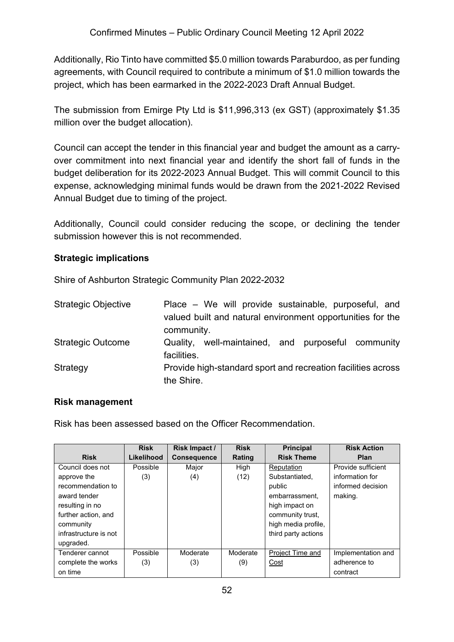Additionally, Rio Tinto have committed \$5.0 million towards Paraburdoo, as per funding agreements, with Council required to contribute a minimum of \$1.0 million towards the project, which has been earmarked in the 2022-2023 Draft Annual Budget.

The submission from Emirge Pty Ltd is \$11,996,313 (ex GST) (approximately \$1.35 million over the budget allocation).

Council can accept the tender in this financial year and budget the amount as a carryover commitment into next financial year and identify the short fall of funds in the budget deliberation for its 2022-2023 Annual Budget. This will commit Council to this expense, acknowledging minimal funds would be drawn from the 2021-2022 Revised Annual Budget due to timing of the project.

Additionally, Council could consider reducing the scope, or declining the tender submission however this is not recommended.

#### **Strategic implications**

Shire of Ashburton Strategic Community Plan 2022-2032

| <b>Strategic Objective</b> | Place – We will provide sustainable, purposeful, and<br>valued built and natural environment opportunities for the |
|----------------------------|--------------------------------------------------------------------------------------------------------------------|
|                            | community.                                                                                                         |
| <b>Strategic Outcome</b>   | well-maintained, and purposeful community<br>Quality,<br>facilities.                                               |
| Strategy                   | Provide high-standard sport and recreation facilities across                                                       |
|                            | the Shire.                                                                                                         |

#### **Risk management**

Risk has been assessed based on the Officer Recommendation.

|                       | <b>Risk</b> | <b>Risk Impact /</b> | <b>Risk</b> | <b>Principal</b>    | <b>Risk Action</b> |
|-----------------------|-------------|----------------------|-------------|---------------------|--------------------|
| <b>Risk</b>           | Likelihood  | <b>Consequence</b>   | Rating      | <b>Risk Theme</b>   | Plan               |
| Council does not      | Possible    | Major                | High        | Reputation          | Provide sufficient |
| approve the           | (3)         | (4)                  | (12)        | Substantiated.      | information for    |
| recommendation to     |             |                      |             | public              | informed decision  |
| award tender          |             |                      |             | embarrassment.      | making.            |
| resulting in no       |             |                      |             | high impact on      |                    |
| further action, and   |             |                      |             | community trust.    |                    |
| community             |             |                      |             | high media profile, |                    |
| infrastructure is not |             |                      |             | third party actions |                    |
| upgraded.             |             |                      |             |                     |                    |
| Tenderer cannot       | Possible    | Moderate             | Moderate    | Project Time and    | Implementation and |
| complete the works    | (3)         | (3)                  | (9)         | Cost                | adherence to       |
| on time               |             |                      |             |                     | contract           |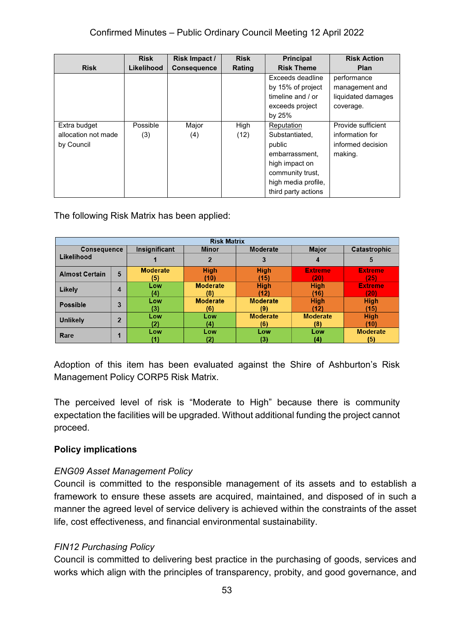|                     | <b>Risk</b> | Risk Impact /      | <b>Risk</b> | <b>Principal</b>    | <b>Risk Action</b> |
|---------------------|-------------|--------------------|-------------|---------------------|--------------------|
| <b>Risk</b>         | Likelihood  | <b>Consequence</b> | Rating      | <b>Risk Theme</b>   | <b>Plan</b>        |
|                     |             |                    |             | Exceeds deadline    | performance        |
|                     |             |                    |             | by 15% of project   | management and     |
|                     |             |                    |             | timeline and / or   | liquidated damages |
|                     |             |                    |             | exceeds project     | coverage.          |
|                     |             |                    |             | by 25%              |                    |
| Extra budget        | Possible    | Major              | High        | Reputation          | Provide sufficient |
| allocation not made | (3)         | (4)                | (12)        | Substantiated,      | information for    |
| by Council          |             |                    |             | public              | informed decision  |
|                     |             |                    |             | embarrassment.      | making.            |
|                     |             |                    |             | high impact on      |                    |
|                     |             |                    |             | community trust,    |                    |
|                     |             |                    |             | high media profile, |                    |
|                     |             |                    |             | third party actions |                    |

The following Risk Matrix has been applied:

| <b>Risk Matrix</b>    |                |                 |                 |                 |                 |                 |
|-----------------------|----------------|-----------------|-----------------|-----------------|-----------------|-----------------|
| <b>Consequence</b>    |                | Insignificant   | <b>Minor</b>    | Moderate        | <b>Major</b>    | Catastrophic    |
| Likelihood            |                |                 |                 |                 |                 | 5               |
| <b>Almost Certain</b> | 5              | <b>Moderate</b> | <b>High</b>     | <b>High</b>     | <b>Extreme</b>  | <b>Extreme</b>  |
|                       |                | (5)             | (10)            | (15)            | (20)            | (25)            |
| Likely                | 4              | Low             | <b>Moderate</b> | <b>High</b>     | <b>High</b>     | <b>Extreme</b>  |
|                       |                | (4)             | (8)             | (12)            | (16)            | (20)            |
| <b>Possible</b>       | 3              | Low             | <b>Moderate</b> | <b>Moderate</b> | <b>High</b>     | <b>High</b>     |
|                       |                | (3)             | (6)             | (9)             | (12)            | (15)            |
| <b>Unlikely</b>       | $\overline{2}$ | Low             | Low             | <b>Moderate</b> | <b>Moderate</b> | <b>High</b>     |
|                       | (2)            | (4)             | (6)             | (8)             | (10)            |                 |
| Rare                  |                | Low             | Low             | Low             | Low             | <b>Moderate</b> |
|                       |                |                 |                 |                 | (4)             | (5)             |

Adoption of this item has been evaluated against the Shire of Ashburton's Risk Management Policy CORP5 Risk Matrix.

The perceived level of risk is "Moderate to High" because there is community expectation the facilities will be upgraded. Without additional funding the project cannot proceed.

## **Policy implications**

#### *ENG09 Asset Management Policy*

Council is committed to the responsible management of its assets and to establish a framework to ensure these assets are acquired, maintained, and disposed of in such a manner the agreed level of service delivery is achieved within the constraints of the asset life, cost effectiveness, and financial environmental sustainability.

## *FIN12 Purchasing Policy*

Council is committed to delivering best practice in the purchasing of goods, services and works which align with the principles of transparency, probity, and good governance, and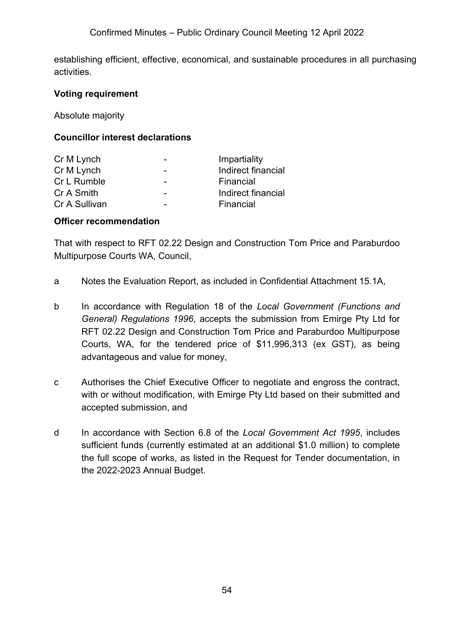establishing efficient, effective, economical, and sustainable procedures in all purchasing activities.

#### **Voting requirement**

Absolute majority

## **Councillor interest declarations**

| Cr M Lynch    | -                        | Impartiality       |
|---------------|--------------------------|--------------------|
| Cr M Lynch    | $\overline{\phantom{0}}$ | Indirect financial |
| Cr L Rumble   |                          | Financial          |
| Cr A Smith    | -                        | Indirect financial |
| Cr A Sullivan |                          | Financial          |

#### **Officer recommendation**

That with respect to RFT 02.22 Design and Construction Tom Price and Paraburdoo Multipurpose Courts WA, Council,

- a Notes the Evaluation Report, as included in Confidential Attachment 15.1A,
- b In accordance with Regulation 18 of the *Local Government (Functions and General) Regulations 1996*, accepts the submission from Emirge Pty Ltd for RFT 02.22 Design and Construction Tom Price and Paraburdoo Multipurpose Courts, WA, for the tendered price of \$11,996,313 (ex GST), as being advantageous and value for money,
- c Authorises the Chief Executive Officer to negotiate and engross the contract, with or without modification, with Emirge Pty Ltd based on their submitted and accepted submission, and
- d In accordance with Section 6.8 of the *Local Government Act 1995*, includes sufficient funds (currently estimated at an additional \$1.0 million) to complete the full scope of works, as listed in the Request for Tender documentation, in the 2022-2023 Annual Budget.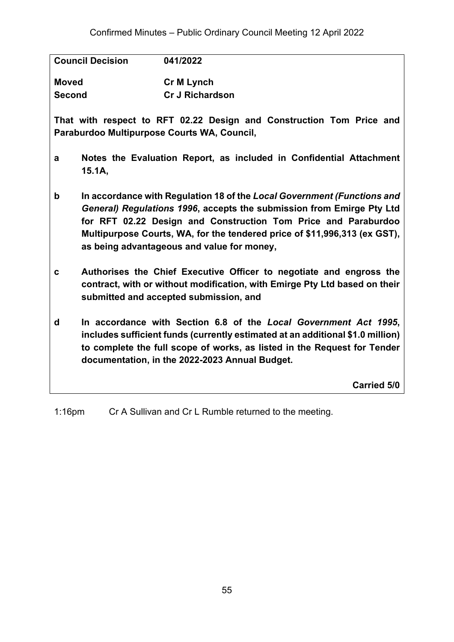| <b>Cr M Lynch</b><br><b>Cr J Richardson</b> |
|---------------------------------------------|
|                                             |

**That with respect to RFT 02.22 Design and Construction Tom Price and Paraburdoo Multipurpose Courts WA, Council,**

- **a Notes the Evaluation Report, as included in Confidential Attachment 15.1A,**
- **b In accordance with Regulation 18 of the** *Local Government (Functions and General) Regulations 1996***, accepts the submission from Emirge Pty Ltd for RFT 02.22 Design and Construction Tom Price and Paraburdoo Multipurpose Courts, WA, for the tendered price of \$11,996,313 (ex GST), as being advantageous and value for money,**
- **c Authorises the Chief Executive Officer to negotiate and engross the contract, with or without modification, with Emirge Pty Ltd based on their submitted and accepted submission, and**
- **d In accordance with Section 6.8 of the** *Local Government Act 1995***, includes sufficient funds (currently estimated at an additional \$1.0 million) to complete the full scope of works, as listed in the Request for Tender documentation, in the 2022-2023 Annual Budget.**

**Carried 5/0**

1:16pm Cr A Sullivan and Cr L Rumble returned to the meeting.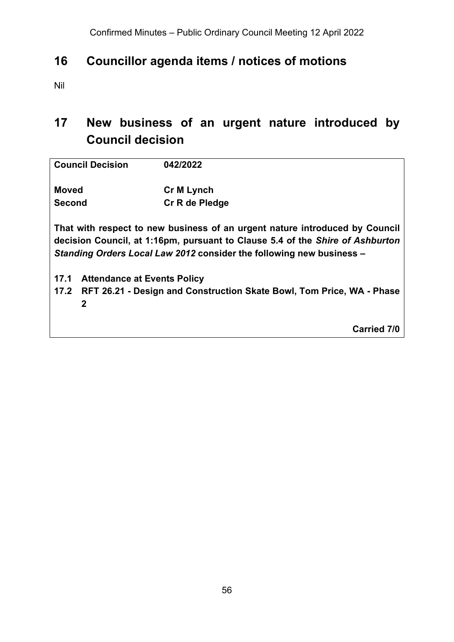# **16 Councillor agenda items / notices of motions**

Nil

# **17 New business of an urgent nature introduced by Council decision**

| <b>Council Decision</b>                    | 042/2022                                                                                                                                                                                                                             |  |  |
|--------------------------------------------|--------------------------------------------------------------------------------------------------------------------------------------------------------------------------------------------------------------------------------------|--|--|
| <b>Moved</b>                               | <b>Cr M Lynch</b>                                                                                                                                                                                                                    |  |  |
| <b>Second</b>                              | Cr R de Pledge                                                                                                                                                                                                                       |  |  |
|                                            | That with respect to new business of an urgent nature introduced by Council<br>decision Council, at 1:16pm, pursuant to Clause 5.4 of the Shire of Ashburton<br>Standing Orders Local Law 2012 consider the following new business - |  |  |
| 17.1<br><b>Attendance at Events Policy</b> |                                                                                                                                                                                                                                      |  |  |
|                                            | 17.2 RFT 26.21 - Design and Construction Skate Bowl, Tom Price, WA - Phase                                                                                                                                                           |  |  |
| 2                                          |                                                                                                                                                                                                                                      |  |  |
|                                            | <b>Carried 7/0</b>                                                                                                                                                                                                                   |  |  |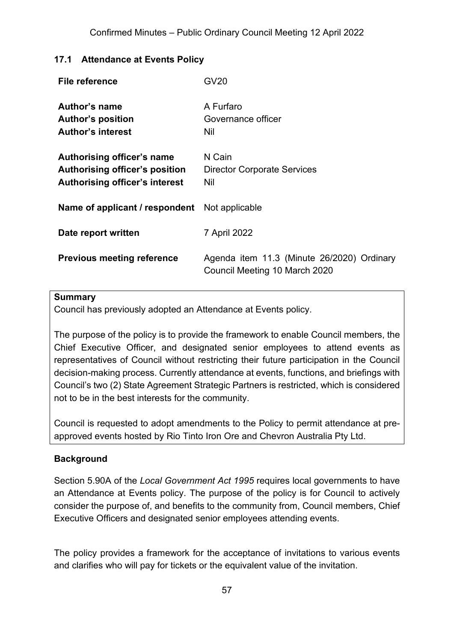#### **17.1 Attendance at Events Policy**

| File reference                                                                                 | <b>GV20</b>                                                                 |
|------------------------------------------------------------------------------------------------|-----------------------------------------------------------------------------|
| <b>Author's name</b><br><b>Author's position</b><br><b>Author's interest</b>                   | A Furfaro<br>Governance officer<br>Nil                                      |
| Authorising officer's name<br>Authorising officer's position<br>Authorising officer's interest | N Cain<br><b>Director Corporate Services</b><br>Nil                         |
| <b>Name of applicant / respondent</b> Not applicable                                           |                                                                             |
| Date report written                                                                            | 7 April 2022                                                                |
| <b>Previous meeting reference</b>                                                              | Agenda item 11.3 (Minute 26/2020) Ordinary<br>Council Meeting 10 March 2020 |

#### **Summary**

Council has previously adopted an Attendance at Events policy.

The purpose of the policy is to provide the framework to enable Council members, the Chief Executive Officer, and designated senior employees to attend events as representatives of Council without restricting their future participation in the Council decision-making process. Currently attendance at events, functions, and briefings with Council's two (2) State Agreement Strategic Partners is restricted, which is considered not to be in the best interests for the community.

Council is requested to adopt amendments to the Policy to permit attendance at preapproved events hosted by Rio Tinto Iron Ore and Chevron Australia Pty Ltd.

#### **Background**

Section 5.90A of the *Local Government Act 1995* requires local governments to have an Attendance at Events policy. The purpose of the policy is for Council to actively consider the purpose of, and benefits to the community from, Council members, Chief Executive Officers and designated senior employees attending events.

The policy provides a framework for the acceptance of invitations to various events and clarifies who will pay for tickets or the equivalent value of the invitation.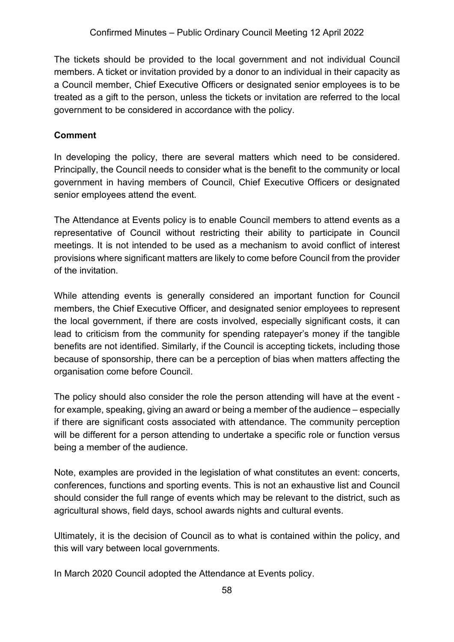The tickets should be provided to the local government and not individual Council members. A ticket or invitation provided by a donor to an individual in their capacity as a Council member, Chief Executive Officers or designated senior employees is to be treated as a gift to the person, unless the tickets or invitation are referred to the local government to be considered in accordance with the policy.

## **Comment**

In developing the policy, there are several matters which need to be considered. Principally, the Council needs to consider what is the benefit to the community or local government in having members of Council, Chief Executive Officers or designated senior employees attend the event.

The Attendance at Events policy is to enable Council members to attend events as a representative of Council without restricting their ability to participate in Council meetings. It is not intended to be used as a mechanism to avoid conflict of interest provisions where significant matters are likely to come before Council from the provider of the invitation.

While attending events is generally considered an important function for Council members, the Chief Executive Officer, and designated senior employees to represent the local government, if there are costs involved, especially significant costs, it can lead to criticism from the community for spending ratepayer's money if the tangible benefits are not identified. Similarly, if the Council is accepting tickets, including those because of sponsorship, there can be a perception of bias when matters affecting the organisation come before Council.

The policy should also consider the role the person attending will have at the event for example, speaking, giving an award or being a member of the audience – especially if there are significant costs associated with attendance. The community perception will be different for a person attending to undertake a specific role or function versus being a member of the audience.

Note, examples are provided in the legislation of what constitutes an event: concerts, conferences, functions and sporting events. This is not an exhaustive list and Council should consider the full range of events which may be relevant to the district, such as agricultural shows, field days, school awards nights and cultural events.

Ultimately, it is the decision of Council as to what is contained within the policy, and this will vary between local governments.

In March 2020 Council adopted the Attendance at Events policy.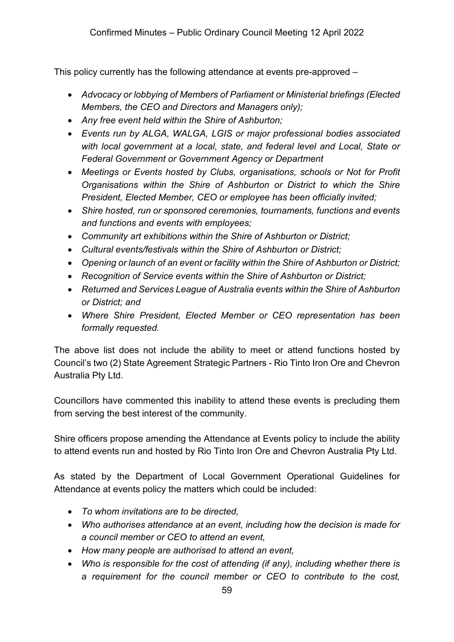This policy currently has the following attendance at events pre-approved –

- *Advocacy or lobbying of Members of Parliament or Ministerial briefings (Elected Members, the CEO and Directors and Managers only);*
- *Any free event held within the Shire of Ashburton;*
- *Events run by ALGA, WALGA, LGIS or major professional bodies associated with local government at a local, state, and federal level and Local, State or Federal Government or Government Agency or Department*
- *Meetings or Events hosted by Clubs, organisations, schools or Not for Profit Organisations within the Shire of Ashburton or District to which the Shire President, Elected Member, CEO or employee has been officially invited;*
- *Shire hosted, run or sponsored ceremonies, tournaments, functions and events and functions and events with employees;*
- *Community art exhibitions within the Shire of Ashburton or District;*
- *Cultural events/festivals within the Shire of Ashburton or District;*
- *Opening or launch of an event or facility within the Shire of Ashburton or District;*
- *Recognition of Service events within the Shire of Ashburton or District;*
- *Returned and Services League of Australia events within the Shire of Ashburton or District; and*
- *Where Shire President, Elected Member or CEO representation has been formally requested.*

The above list does not include the ability to meet or attend functions hosted by Council's two (2) State Agreement Strategic Partners - Rio Tinto Iron Ore and Chevron Australia Pty Ltd.

Councillors have commented this inability to attend these events is precluding them from serving the best interest of the community.

Shire officers propose amending the Attendance at Events policy to include the ability to attend events run and hosted by Rio Tinto Iron Ore and Chevron Australia Pty Ltd.

As stated by the Department of Local Government Operational Guidelines for Attendance at events policy the matters which could be included:

- *To whom invitations are to be directed,*
- *Who authorises attendance at an event, including how the decision is made for a council member or CEO to attend an event,*
- *How many people are authorised to attend an event,*
- *Who is responsible for the cost of attending (if any), including whether there is a requirement for the council member or CEO to contribute to the cost,*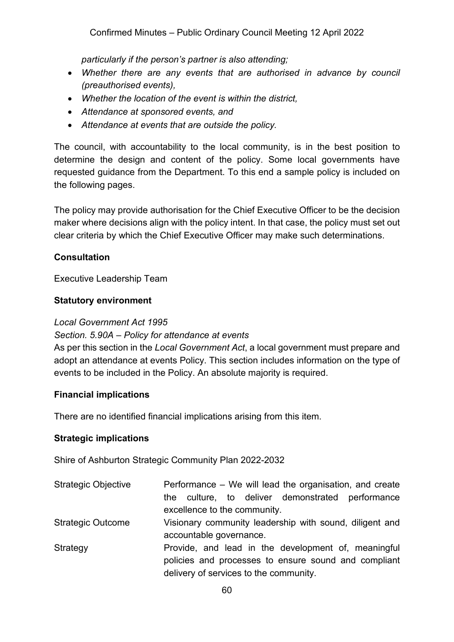*particularly if the person's partner is also attending;*

- *Whether there are any events that are authorised in advance by council (preauthorised events),*
- *Whether the location of the event is within the district,*
- *Attendance at sponsored events, and*
- *Attendance at events that are outside the policy.*

The council, with accountability to the local community, is in the best position to determine the design and content of the policy. Some local governments have requested guidance from the Department. To this end a sample policy is included on the following pages.

The policy may provide authorisation for the Chief Executive Officer to be the decision maker where decisions align with the policy intent. In that case, the policy must set out clear criteria by which the Chief Executive Officer may make such determinations.

#### **Consultation**

Executive Leadership Team

#### **Statutory environment**

#### *Local Government Act 1995*

#### *Section. 5.90A – Policy for attendance at events*

As per this section in the *Local Government Act*, a local government must prepare and adopt an attendance at events Policy. This section includes information on the type of events to be included in the Policy. An absolute majority is required.

#### **Financial implications**

There are no identified financial implications arising from this item.

#### **Strategic implications**

Shire of Ashburton Strategic Community Plan 2022-2032

| <b>Strategic Objective</b> | Performance – We will lead the organisation, and create |  |  |  |  |
|----------------------------|---------------------------------------------------------|--|--|--|--|
|                            | the culture, to deliver demonstrated performance        |  |  |  |  |
|                            | excellence to the community.                            |  |  |  |  |
| <b>Strategic Outcome</b>   | Visionary community leadership with sound, diligent and |  |  |  |  |
|                            | accountable governance.                                 |  |  |  |  |
| Strategy                   | Provide, and lead in the development of, meaningful     |  |  |  |  |
|                            | policies and processes to ensure sound and compliant    |  |  |  |  |
|                            | delivery of services to the community.                  |  |  |  |  |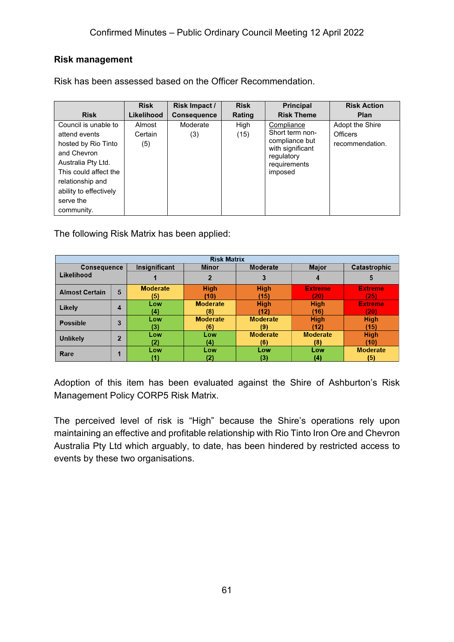#### **Risk management**

Risk has been assessed based on the Officer Recommendation.

|                        | <b>Risk</b> | Risk Impact /      | <b>Risk</b> | <b>Principal</b>               | <b>Risk Action</b> |
|------------------------|-------------|--------------------|-------------|--------------------------------|--------------------|
| <b>Risk</b>            | Likelihood  | <b>Consequence</b> | Rating      | <b>Risk Theme</b>              | <b>Plan</b>        |
| Council is unable to   | Almost      | Moderate           | High        | Compliance                     | Adopt the Shire    |
| attend events          | Certain     | (3)                | (15)        | Short term non-                | Officers           |
| hosted by Rio Tinto    | (5)         |                    |             | compliance but                 | recommendation.    |
| and Chevron            |             |                    |             | with significant<br>regulatory |                    |
| Australia Pty Ltd.     |             |                    |             | requirements                   |                    |
| This could affect the  |             |                    |             | imposed                        |                    |
| relationship and       |             |                    |             |                                |                    |
| ability to effectively |             |                    |             |                                |                    |
| serve the              |             |                    |             |                                |                    |
| community.             |             |                    |             |                                |                    |

The following Risk Matrix has been applied:

| <b>Risk Matrix</b>    |                |                 |                 |                 |                 |                 |
|-----------------------|----------------|-----------------|-----------------|-----------------|-----------------|-----------------|
| <b>Consequence</b>    |                | Insignificant   | <b>Minor</b>    | <b>Moderate</b> | <b>Major</b>    | Catastrophic    |
| Likelihood            |                |                 |                 | 3               | 4               | 5               |
| <b>Almost Certain</b> | 5              | <b>Moderate</b> | <b>High</b>     | <b>High</b>     | <b>Extreme</b>  | <b>Extreme</b>  |
|                       |                | (5)             | (10)            | (15)            | 201             | (25)            |
| Likely                |                | Low             | <b>Moderate</b> | <b>High</b>     | <b>High</b>     | <b>Extreme</b>  |
|                       | $\overline{4}$ | (4)             | (8)             | (12)            | (16)            | (20)            |
| <b>Possible</b>       | 3              | Low             | <b>Moderate</b> | <b>Moderate</b> | <b>High</b>     | <b>High</b>     |
|                       |                | (3)             | (6)             | (9)             | (12)            | (15)            |
| <b>Unlikely</b>       | $\overline{2}$ | Low             | Low             | <b>Moderate</b> | <b>Moderate</b> | <b>High</b>     |
|                       | (2)            | (4)             | (6)             | (8)             | (10)            |                 |
| Rare                  |                | Low             | Low             | Low             | Low             | <b>Moderate</b> |
|                       |                |                 | (2)             | (3)             | (4)             | (5)             |

Adoption of this item has been evaluated against the Shire of Ashburton's Risk Management Policy CORP5 Risk Matrix.

The perceived level of risk is "High" because the Shire's operations rely upon maintaining an effective and profitable relationship with Rio Tinto Iron Ore and Chevron Australia Pty Ltd which arguably, to date, has been hindered by restricted access to events by these two organisations.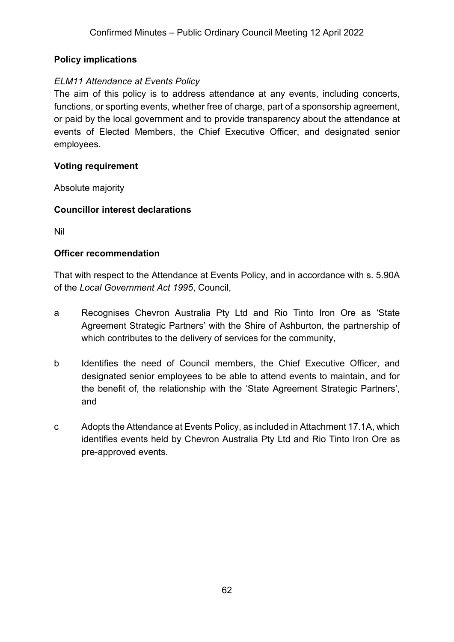## **Policy implications**

#### *ELM11 Attendance at Events Policy*

The aim of this policy is to address attendance at any events, including concerts, functions, or sporting events, whether free of charge, part of a sponsorship agreement, or paid by the local government and to provide transparency about the attendance at events of Elected Members, the Chief Executive Officer, and designated senior employees.

#### **Voting requirement**

Absolute majority

#### **Councillor interest declarations**

Nil

#### **Officer recommendation**

That with respect to the Attendance at Events Policy, and in accordance with s. 5.90A of the *Local Government Act 1995*, Council,

- a Recognises Chevron Australia Pty Ltd and Rio Tinto Iron Ore as 'State Agreement Strategic Partners' with the Shire of Ashburton, the partnership of which contributes to the delivery of services for the community,
- b Identifies the need of Council members, the Chief Executive Officer, and designated senior employees to be able to attend events to maintain, and for the benefit of, the relationship with the 'State Agreement Strategic Partners', and
- c Adopts the Attendance at Events Policy, as included in Attachment 17.1A, which identifies events held by Chevron Australia Pty Ltd and Rio Tinto Iron Ore as pre-approved events.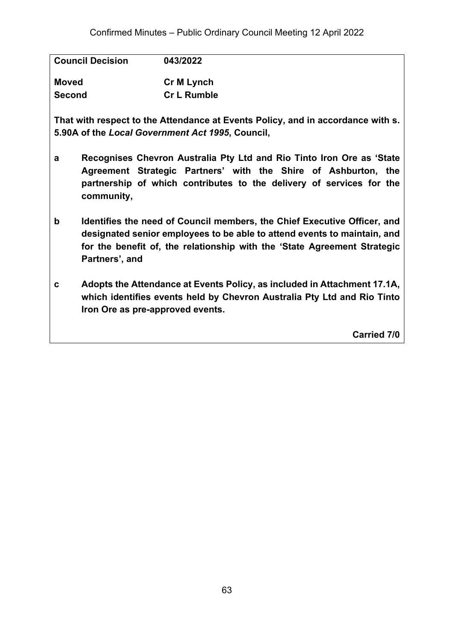| <b>Council Decision</b> | 043/2022           |
|-------------------------|--------------------|
| <b>Moved</b>            | Cr M Lynch         |
| <b>Second</b>           | <b>Cr L Rumble</b> |

**That with respect to the Attendance at Events Policy, and in accordance with s. 5.90A of the** *Local Government Act 1995***, Council,**

- **a Recognises Chevron Australia Pty Ltd and Rio Tinto Iron Ore as 'State Agreement Strategic Partners' with the Shire of Ashburton, the partnership of which contributes to the delivery of services for the community,**
- **b Identifies the need of Council members, the Chief Executive Officer, and designated senior employees to be able to attend events to maintain, and for the benefit of, the relationship with the 'State Agreement Strategic Partners', and**
- **c Adopts the Attendance at Events Policy, as included in Attachment 17.1A, which identifies events held by Chevron Australia Pty Ltd and Rio Tinto Iron Ore as pre-approved events.**

**Carried 7/0**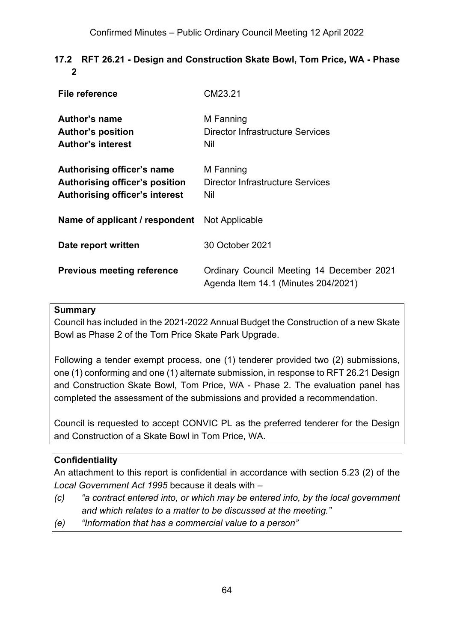## **17.2 RFT 26.21 - Design and Construction Skate Bowl, Tom Price, WA - Phase 2**

| File reference                                                                                        | CM23.21                                                                          |
|-------------------------------------------------------------------------------------------------------|----------------------------------------------------------------------------------|
| Author's name<br><b>Author's position</b><br><b>Author's interest</b>                                 | M Fanning<br>Director Infrastructure Services<br>Nil                             |
| Authorising officer's name<br>Authorising officer's position<br><b>Authorising officer's interest</b> | M Fanning<br>Director Infrastructure Services<br>Nil                             |
| <b>Name of applicant / respondent</b> Not Applicable                                                  |                                                                                  |
| Date report written                                                                                   | 30 October 2021                                                                  |
| <b>Previous meeting reference</b>                                                                     | Ordinary Council Meeting 14 December 2021<br>Agenda Item 14.1 (Minutes 204/2021) |

#### **Summary**

Council has included in the 2021-2022 Annual Budget the Construction of a new Skate Bowl as Phase 2 of the Tom Price Skate Park Upgrade.

Following a tender exempt process, one (1) tenderer provided two (2) submissions, one (1) conforming and one (1) alternate submission, in response to RFT 26.21 Design and Construction Skate Bowl, Tom Price, WA - Phase 2. The evaluation panel has completed the assessment of the submissions and provided a recommendation.

Council is requested to accept CONVIC PL as the preferred tenderer for the Design and Construction of a Skate Bowl in Tom Price, WA.

## **Confidentiality**

An attachment to this report is confidential in accordance with section 5.23 (2) of the *Local Government Act 1995* because it deals with –

- *(c) "a contract entered into, or which may be entered into, by the local government and which relates to a matter to be discussed at the meeting."*
- *(e) "Information that has a commercial value to a person"*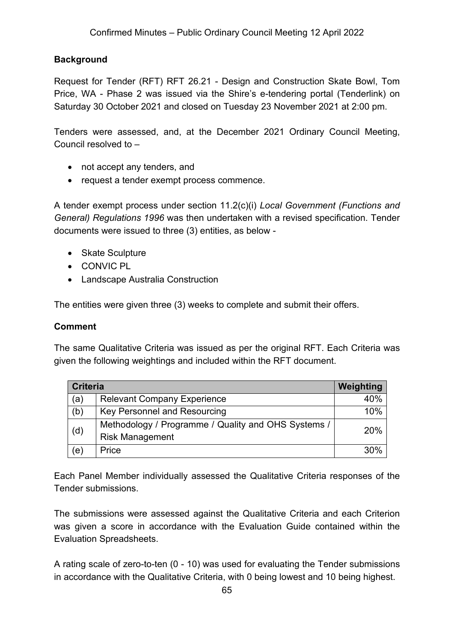#### **Background**

Request for Tender (RFT) RFT 26.21 - Design and Construction Skate Bowl, Tom Price, WA - Phase 2 was issued via the Shire's e-tendering portal (Tenderlink) on Saturday 30 October 2021 and closed on Tuesday 23 November 2021 at 2:00 pm.

Tenders were assessed, and, at the December 2021 Ordinary Council Meeting, Council resolved to –

- not accept any tenders, and
- request a tender exempt process commence.

A tender exempt process under section 11.2(c)(i) *Local Government (Functions and General) Regulations 1996* was then undertaken with a revised specification. Tender documents were issued to three (3) entities, as below -

- Skate Sculpture
- CONVIC PL
- Landscape Australia Construction

The entities were given three (3) weeks to complete and submit their offers.

#### **Comment**

The same Qualitative Criteria was issued as per the original RFT. Each Criteria was given the following weightings and included within the RFT document.

| <b>Criteria</b> | Weighting                                           |     |
|-----------------|-----------------------------------------------------|-----|
| (a)             | <b>Relevant Company Experience</b>                  | 40% |
| (b)             | Key Personnel and Resourcing                        | 10% |
|                 | Methodology / Programme / Quality and OHS Systems / | 20% |
| (d)             | <b>Risk Management</b>                              |     |
| (e)             | Price                                               | 30% |

Each Panel Member individually assessed the Qualitative Criteria responses of the Tender submissions.

The submissions were assessed against the Qualitative Criteria and each Criterion was given a score in accordance with the Evaluation Guide contained within the Evaluation Spreadsheets.

A rating scale of zero-to-ten (0 - 10) was used for evaluating the Tender submissions in accordance with the Qualitative Criteria, with 0 being lowest and 10 being highest.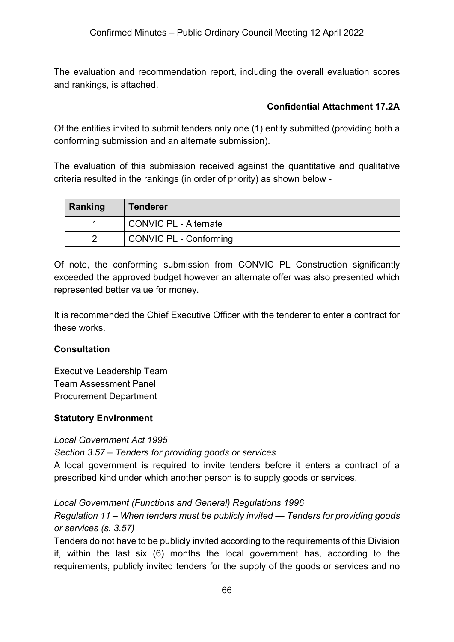The evaluation and recommendation report, including the overall evaluation scores and rankings, is attached.

## **Confidential Attachment 17.2A**

Of the entities invited to submit tenders only one (1) entity submitted (providing both a conforming submission and an alternate submission).

The evaluation of this submission received against the quantitative and qualitative criteria resulted in the rankings (in order of priority) as shown below -

| Ranking | <b>Tenderer</b>        |
|---------|------------------------|
|         | CONVIC PL - Alternate  |
|         | CONVIC PL - Conforming |

Of note, the conforming submission from CONVIC PL Construction significantly exceeded the approved budget however an alternate offer was also presented which represented better value for money.

It is recommended the Chief Executive Officer with the tenderer to enter a contract for these works.

#### **Consultation**

Executive Leadership Team Team Assessment Panel Procurement Department

#### **Statutory Environment**

#### *Local Government Act 1995*

*Section 3.57 – Tenders for providing goods or services*

A local government is required to invite tenders before it enters a contract of a prescribed kind under which another person is to supply goods or services.

*Local Government (Functions and General) Regulations 1996*

*Regulation 11 – When tenders must be publicly invited — Tenders for providing goods or services (s. 3.57)*

Tenders do not have to be publicly invited according to the requirements of this Division if, within the last six (6) months the local government has, according to the requirements, publicly invited tenders for the supply of the goods or services and no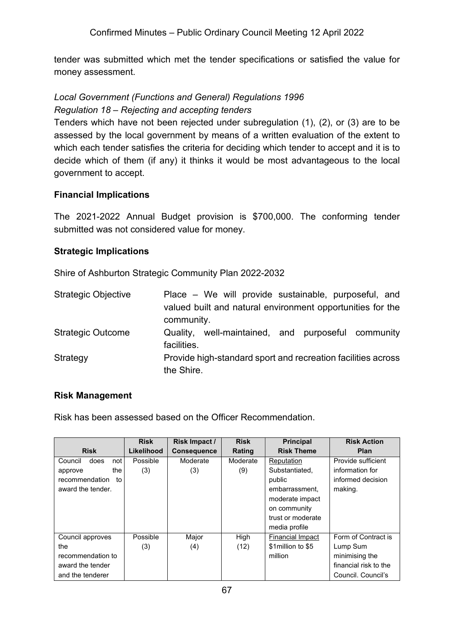tender was submitted which met the tender specifications or satisfied the value for money assessment.

## *Local Government (Functions and General) Regulations 1996 Regulation 18 – Rejecting and accepting tenders*

Tenders which have not been rejected under subregulation (1), (2), or (3) are to be assessed by the local government by means of a written evaluation of the extent to which each tender satisfies the criteria for deciding which tender to accept and it is to decide which of them (if any) it thinks it would be most advantageous to the local government to accept.

#### **Financial Implications**

The 2021-2022 Annual Budget provision is \$700,000. The conforming tender submitted was not considered value for money.

## **Strategic Implications**

Shire of Ashburton Strategic Community Plan 2022-2032

| <b>Strategic Objective</b> | Place – We will provide sustainable, purposeful, and<br>valued built and natural environment opportunities for the |
|----------------------------|--------------------------------------------------------------------------------------------------------------------|
|                            | community.                                                                                                         |
| <b>Strategic Outcome</b>   | well-maintained, and purposeful community<br>Quality,<br>facilities.                                               |
| Strategy                   | Provide high-standard sport and recreation facilities across<br>the Shire.                                         |

#### **Risk Management**

Risk has been assessed based on the Officer Recommendation.

|                        | <b>Risk</b> | Risk Impact /      | <b>Risk</b> | <b>Principal</b>        | <b>Risk Action</b>    |
|------------------------|-------------|--------------------|-------------|-------------------------|-----------------------|
| <b>Risk</b>            | Likelihood  | <b>Consequence</b> | Rating      | <b>Risk Theme</b>       | <b>Plan</b>           |
| does<br>Council<br>not | Possible    | Moderate           | Moderate    | Reputation              | Provide sufficient    |
| the<br>approve         | (3)         | (3)                | (9)         | Substantiated.          | information for       |
| recommendation<br>to   |             |                    |             | public                  | informed decision     |
| award the tender.      |             |                    |             | embarrassment.          | making.               |
|                        |             |                    |             | moderate impact         |                       |
|                        |             |                    |             | on community            |                       |
|                        |             |                    |             | trust or moderate       |                       |
|                        |             |                    |             | media profile           |                       |
| Council approves       | Possible    | Major              | High        | <b>Financial Impact</b> | Form of Contract is   |
| the                    | (3)         | (4)                | (12)        | \$1 million to \$5      | Lump Sum              |
| recommendation to      |             |                    |             | million                 | minimising the        |
| award the tender       |             |                    |             |                         | financial risk to the |
| and the tenderer       |             |                    |             |                         | Council, Council's    |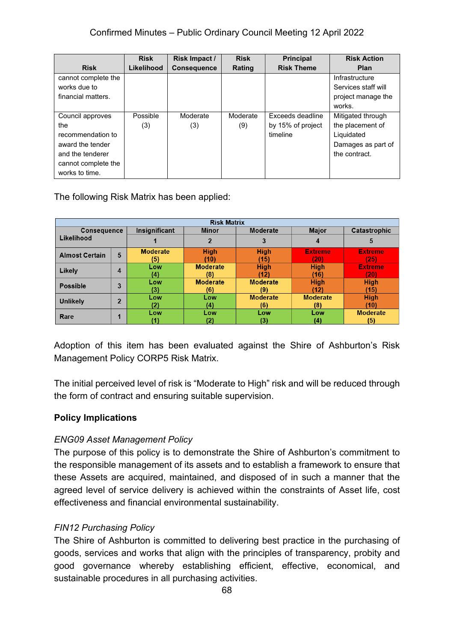|                     | <b>Risk</b> | Risk Impact /      | <b>Risk</b> | <b>Principal</b>  | <b>Risk Action</b>  |
|---------------------|-------------|--------------------|-------------|-------------------|---------------------|
| <b>Risk</b>         | Likelihood  | <b>Consequence</b> | Rating      | <b>Risk Theme</b> | Plan                |
| cannot complete the |             |                    |             |                   | Infrastructure      |
| works due to        |             |                    |             |                   | Services staff will |
| financial matters.  |             |                    |             |                   | project manage the  |
|                     |             |                    |             |                   | works.              |
| Council approves    | Possible    | Moderate           | Moderate    | Exceeds deadline  | Mitigated through   |
| the                 | (3)         | (3)                | (9)         | by 15% of project | the placement of    |
| recommendation to   |             |                    |             | timeline          | Liquidated          |
| award the tender    |             |                    |             |                   | Damages as part of  |
| and the tenderer    |             |                    |             |                   | the contract.       |
| cannot complete the |             |                    |             |                   |                     |
| works to time.      |             |                    |             |                   |                     |

## The following Risk Matrix has been applied:

| <b>Risk Matrix</b>               |                |                 |                 |                 |                 |                 |
|----------------------------------|----------------|-----------------|-----------------|-----------------|-----------------|-----------------|
| <b>Consequence</b><br>Likelihood |                | Insignificant   | <b>Minor</b>    | Moderate        | <b>Major</b>    | Catastrophic    |
|                                  |                |                 |                 | 3               |                 | 5               |
| <b>Almost Certain</b>            | 5              | <b>Moderate</b> | <b>High</b>     | <b>High</b>     | <b>Extreme</b>  | <b>Extreme</b>  |
|                                  |                | (5)             | (10)            | (15)            | (20)            | (25)            |
| Likely                           | 4              | Low             | <b>Moderate</b> | <b>High</b>     | <b>High</b>     | <b>Extreme</b>  |
|                                  |                | (4)             | (8)             | '12)            | (16)            | (20)            |
| <b>Possible</b>                  | 3              | Low             | <b>Moderate</b> | <b>Moderate</b> | <b>High</b>     | <b>High</b>     |
|                                  |                | (3)             | (6)             | (9)             | (12)            | (15)            |
| <b>Unlikely</b>                  | $\overline{2}$ | Low             | <b>Low</b>      | <b>Moderate</b> | <b>Moderate</b> | <b>High</b>     |
|                                  |                | (2)             | (4)             | (6)             | (8)             | (10)            |
| Rare                             |                | Low             | Low             | Low             | Low             | <b>Moderate</b> |
|                                  |                |                 | (2)             | (3)             | (4)             | (5)             |

Adoption of this item has been evaluated against the Shire of Ashburton's Risk Management Policy CORP5 Risk Matrix.

The initial perceived level of risk is "Moderate to High" risk and will be reduced through the form of contract and ensuring suitable supervision.

#### **Policy Implications**

#### *ENG09 Asset Management Policy*

The purpose of this policy is to demonstrate the Shire of Ashburton's commitment to the responsible management of its assets and to establish a framework to ensure that these Assets are acquired, maintained, and disposed of in such a manner that the agreed level of service delivery is achieved within the constraints of Asset life, cost effectiveness and financial environmental sustainability.

#### *FIN12 Purchasing Policy*

The Shire of Ashburton is committed to delivering best practice in the purchasing of goods, services and works that align with the principles of transparency, probity and good governance whereby establishing efficient, effective, economical, and sustainable procedures in all purchasing activities.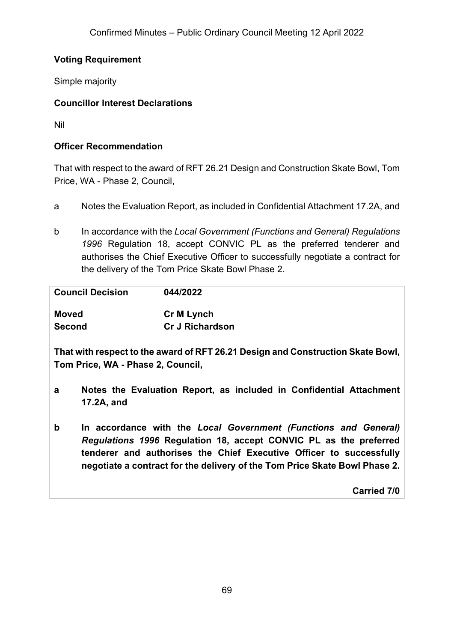## **Voting Requirement**

Simple majority

## **Councillor Interest Declarations**

Nil

#### **Officer Recommendation**

That with respect to the award of RFT 26.21 Design and Construction Skate Bowl, Tom Price, WA - Phase 2, Council,

- a Notes the Evaluation Report, as included in Confidential Attachment 17.2A, and
- b In accordance with the *Local Government (Functions and General) Regulations 1996* Regulation 18, accept CONVIC PL as the preferred tenderer and authorises the Chief Executive Officer to successfully negotiate a contract for the delivery of the Tom Price Skate Bowl Phase 2.

| <b>Council Decision</b> | 044/2022               |
|-------------------------|------------------------|
| Moved                   | <b>Cr M Lynch</b>      |
| <b>Second</b>           | <b>Cr J Richardson</b> |

**That with respect to the award of RFT 26.21 Design and Construction Skate Bowl, Tom Price, WA - Phase 2, Council,**

- **a Notes the Evaluation Report, as included in Confidential Attachment 17.2A, and**
- **b In accordance with the** *Local Government (Functions and General) Regulations 1996* **Regulation 18, accept CONVIC PL as the preferred tenderer and authorises the Chief Executive Officer to successfully negotiate a contract for the delivery of the Tom Price Skate Bowl Phase 2.**

**Carried 7/0**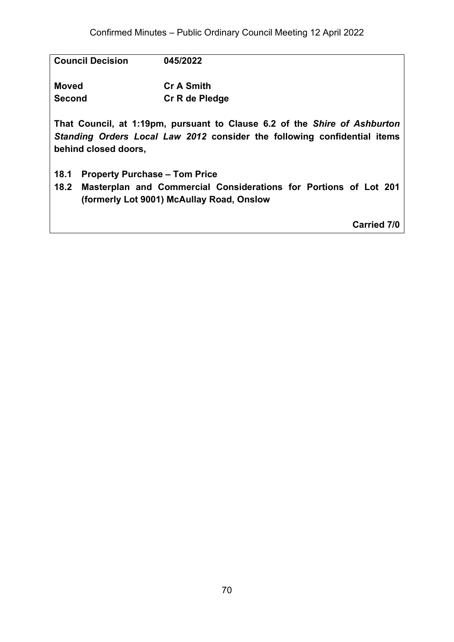| <b>Council Decision</b>                                                                                                                                                       | 045/2022                             |  |  |  |  |
|-------------------------------------------------------------------------------------------------------------------------------------------------------------------------------|--------------------------------------|--|--|--|--|
| <b>Moved</b>                                                                                                                                                                  | <b>Cr A Smith</b>                    |  |  |  |  |
| <b>Second</b>                                                                                                                                                                 | Cr R de Pledge                       |  |  |  |  |
| That Council, at 1:19pm, pursuant to Clause 6.2 of the Shire of Ashburton<br>Standing Orders Local Law 2012 consider the following confidential items<br>behind closed doors, |                                      |  |  |  |  |
| 18.1                                                                                                                                                                          | <b>Property Purchase – Tom Price</b> |  |  |  |  |

**18.2 Masterplan and Commercial Considerations for Portions of Lot 201 (formerly Lot 9001) McAullay Road, Onslow**

**Carried 7/0**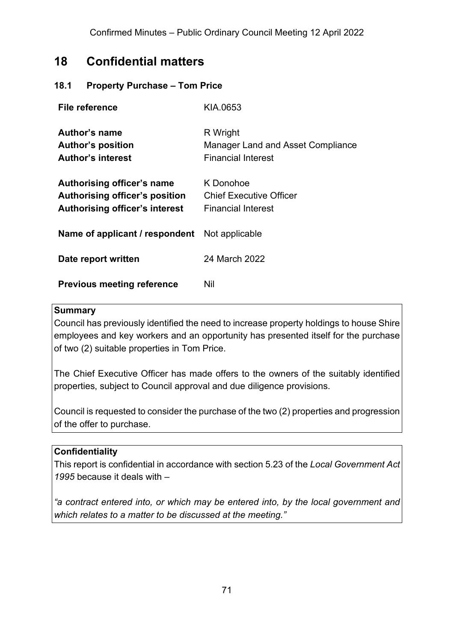# **18 Confidential matters**

#### **18.1 Property Purchase – Tom Price**

| File reference                                                                                               | KIA.0653                                                                   |
|--------------------------------------------------------------------------------------------------------------|----------------------------------------------------------------------------|
| Author's name<br><b>Author's position</b><br><b>Author's interest</b>                                        | R Wright<br>Manager Land and Asset Compliance<br><b>Financial Interest</b> |
| Authorising officer's name<br><b>Authorising officer's position</b><br><b>Authorising officer's interest</b> | K Donohoe<br>Chief Executive Officer<br>Financial Interest                 |
| <b>Name of applicant / respondent</b> Not applicable                                                         |                                                                            |
| Date report written                                                                                          | 24 March 2022                                                              |
| <b>Previous meeting reference</b>                                                                            | Nil                                                                        |

#### **Summary**

Council has previously identified the need to increase property holdings to house Shire employees and key workers and an opportunity has presented itself for the purchase of two (2) suitable properties in Tom Price.

The Chief Executive Officer has made offers to the owners of the suitably identified properties, subject to Council approval and due diligence provisions.

Council is requested to consider the purchase of the two (2) properties and progression of the offer to purchase.

#### **Confidentiality**

This report is confidential in accordance with section 5.23 of the *Local Government Act 1995* because it deals with –

*"a contract entered into, or which may be entered into, by the local government and which relates to a matter to be discussed at the meeting."*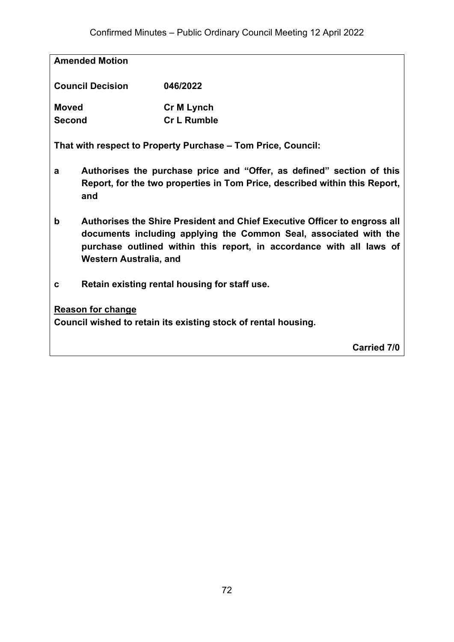**Amended Motion**

| <b>Council Decision</b> | 046/2022           |  |
|-------------------------|--------------------|--|
| <b>Moved</b>            | <b>Cr M Lynch</b>  |  |
| <b>Second</b>           | <b>Cr L Rumble</b> |  |

**That with respect to Property Purchase – Tom Price, Council:**

- **a Authorises the purchase price and "Offer, as defined" section of this Report, for the two properties in Tom Price, described within this Report, and**
- **b Authorises the Shire President and Chief Executive Officer to engross all documents including applying the Common Seal, associated with the purchase outlined within this report, in accordance with all laws of Western Australia, and**
- **c Retain existing rental housing for staff use.**

#### **Reason for change**

**Council wished to retain its existing stock of rental housing.**

**Carried 7/0**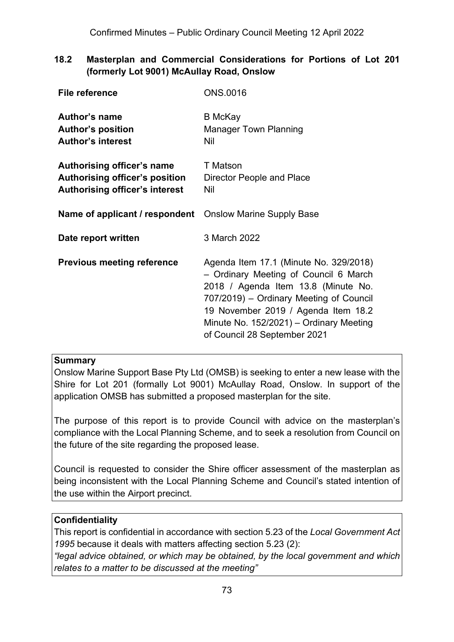### **18.2 Masterplan and Commercial Considerations for Portions of Lot 201 (formerly Lot 9001) McAullay Road, Onslow**

| <b>File reference</b>                                                                                        | <b>ONS.0016</b>                                                                                                                                                                                                                                                                     |
|--------------------------------------------------------------------------------------------------------------|-------------------------------------------------------------------------------------------------------------------------------------------------------------------------------------------------------------------------------------------------------------------------------------|
| Author's name<br><b>Author's position</b><br><b>Author's interest</b>                                        | <b>B</b> McKay<br><b>Manager Town Planning</b><br>Nil                                                                                                                                                                                                                               |
| Authorising officer's name<br><b>Authorising officer's position</b><br><b>Authorising officer's interest</b> | T Matson<br>Director People and Place<br>Nil                                                                                                                                                                                                                                        |
| <b>Name of applicant / respondent</b> Onslow Marine Supply Base                                              |                                                                                                                                                                                                                                                                                     |
| Date report written                                                                                          | 3 March 2022                                                                                                                                                                                                                                                                        |
| <b>Previous meeting reference</b>                                                                            | Agenda Item 17.1 (Minute No. 329/2018)<br>- Ordinary Meeting of Council 6 March<br>2018 / Agenda Item 13.8 (Minute No.<br>707/2019) – Ordinary Meeting of Council<br>19 November 2019 / Agenda Item 18.2<br>Minute No. 152/2021) – Ordinary Meeting<br>of Council 28 September 2021 |

#### **Summary**

Onslow Marine Support Base Pty Ltd (OMSB) is seeking to enter a new lease with the Shire for Lot 201 (formally Lot 9001) McAullay Road, Onslow. In support of the application OMSB has submitted a proposed masterplan for the site.

The purpose of this report is to provide Council with advice on the masterplan's compliance with the Local Planning Scheme, and to seek a resolution from Council on the future of the site regarding the proposed lease.

Council is requested to consider the Shire officer assessment of the masterplan as being inconsistent with the Local Planning Scheme and Council's stated intention of the use within the Airport precinct.

#### **Confidentiality**

This report is confidential in accordance with section 5.23 of the *Local Government Act 1995* because it deals with matters affecting section 5.23 (2):

*"legal advice obtained, or which may be obtained, by the local government and which relates to a matter to be discussed at the meeting"*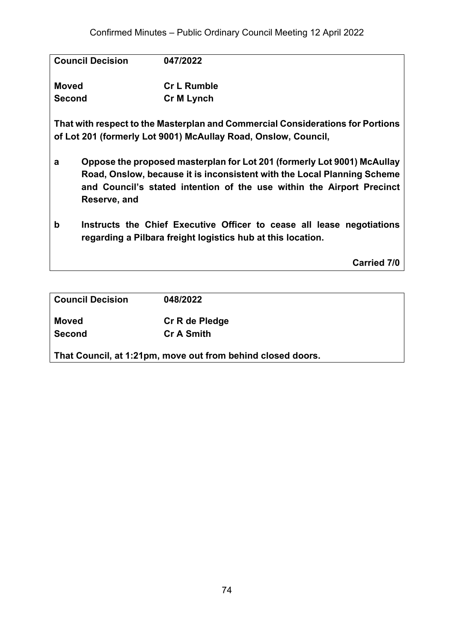| <b>Council Decision</b> | 047/2022                                                                       |
|-------------------------|--------------------------------------------------------------------------------|
| <b>Moved</b>            | <b>Cr L Rumble</b>                                                             |
| <b>Second</b>           | <b>Cr M Lynch</b>                                                              |
|                         | That with respect to the Masterplan and Commercial Considerations for Portions |

**That with respect to the Masterplan and Commercial Considerations for Portions of Lot 201 (formerly Lot 9001) McAullay Road, Onslow, Council,**

- **a Oppose the proposed masterplan for Lot 201 (formerly Lot 9001) McAullay Road, Onslow, because it is inconsistent with the Local Planning Scheme and Council's stated intention of the use within the Airport Precinct Reserve, and**
- **b Instructs the Chief Executive Officer to cease all lease negotiations regarding a Pilbara freight logistics hub at this location.**

**Carried 7/0**

| <b>Council Decision</b> | 048/2022                                                    |  |
|-------------------------|-------------------------------------------------------------|--|
| Moved                   | Cr R de Pledge                                              |  |
| <b>Second</b>           | <b>Cr A Smith</b>                                           |  |
|                         | That Council, at 1:21pm, move out from behind closed doors. |  |